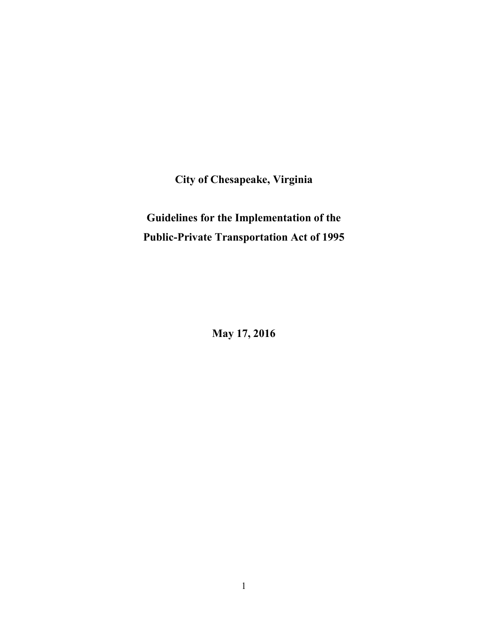**City of Chesapeake, Virginia** 

# **Guidelines for the Implementation of the Public-Private Transportation Act of 1995**

**May 17, 2016**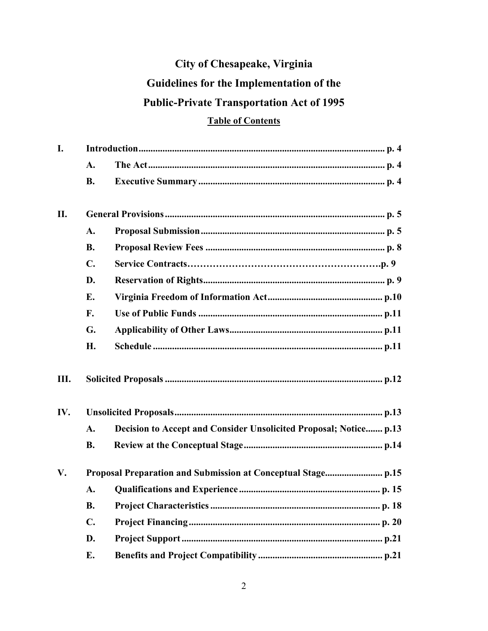# City of Chesapeake, Virginia Guidelines for the Implementation of the **Public-Private Transportation Act of 1995**

# **Table of Contents**

| I.  |                |                                                                   |  |  |
|-----|----------------|-------------------------------------------------------------------|--|--|
|     | A.             |                                                                   |  |  |
|     | <b>B.</b>      |                                                                   |  |  |
| II. |                |                                                                   |  |  |
|     | A.             |                                                                   |  |  |
|     | <b>B.</b>      |                                                                   |  |  |
|     | $\mathbf{C}$ . |                                                                   |  |  |
|     | D.             |                                                                   |  |  |
|     | Е.             |                                                                   |  |  |
|     | F.             |                                                                   |  |  |
|     | G.             |                                                                   |  |  |
|     | H.             |                                                                   |  |  |
| Ш.  |                |                                                                   |  |  |
| IV. |                |                                                                   |  |  |
|     | A.             | Decision to Accept and Consider Unsolicited Proposal; Notice p.13 |  |  |
|     | <b>B.</b>      |                                                                   |  |  |
| V.  |                |                                                                   |  |  |
|     | A.             |                                                                   |  |  |
|     | <b>B.</b>      |                                                                   |  |  |
|     | $\mathbf{C}$ . |                                                                   |  |  |
|     | D.             |                                                                   |  |  |
|     | E.             |                                                                   |  |  |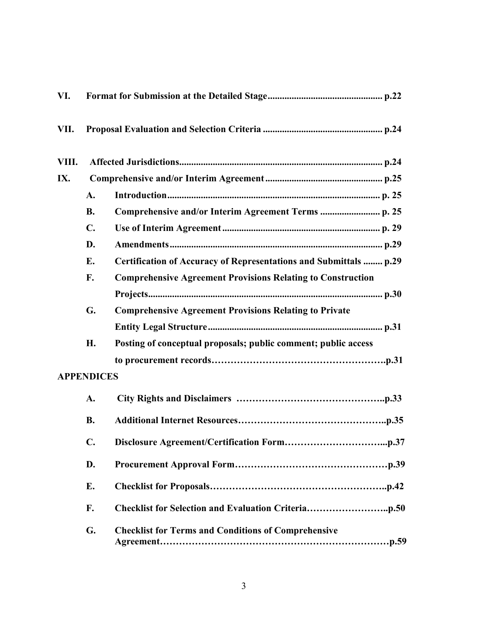| VI.   |                   |                                                                    |  |
|-------|-------------------|--------------------------------------------------------------------|--|
| VII.  |                   |                                                                    |  |
| VIII. |                   |                                                                    |  |
| IX.   |                   |                                                                    |  |
|       | $\mathbf{A}$ .    |                                                                    |  |
|       | <b>B.</b>         |                                                                    |  |
|       | $\mathbf{C}$ .    |                                                                    |  |
|       | D.                |                                                                    |  |
|       | E.                | Certification of Accuracy of Representations and Submittals  p.29  |  |
|       | F.                | <b>Comprehensive Agreement Provisions Relating to Construction</b> |  |
|       |                   |                                                                    |  |
|       | G.                | <b>Comprehensive Agreement Provisions Relating to Private</b>      |  |
|       |                   |                                                                    |  |
|       | Н.                | Posting of conceptual proposals; public comment; public access     |  |
|       |                   |                                                                    |  |
|       | <b>APPENDICES</b> |                                                                    |  |
|       | A.                |                                                                    |  |
|       | <b>B.</b>         |                                                                    |  |
|       | $\mathbf{C}$ .    |                                                                    |  |
|       | D.                |                                                                    |  |
|       | E.                |                                                                    |  |
|       | F.                |                                                                    |  |
|       | G.                | <b>Checklist for Terms and Conditions of Comprehensive</b>         |  |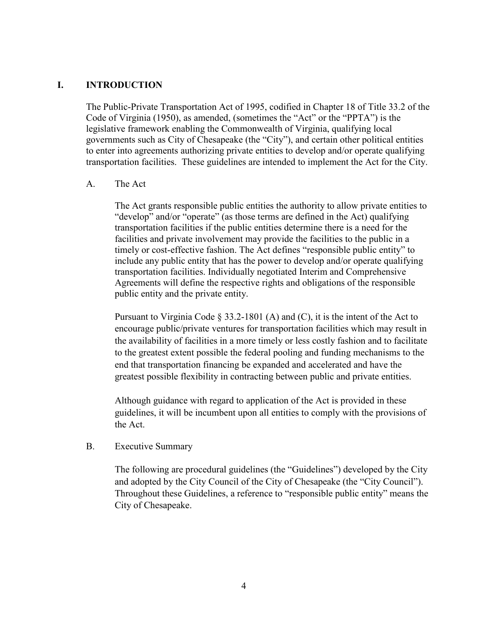### **I. INTRODUCTION**

The Public-Private Transportation Act of 1995, codified in Chapter 18 of Title 33.2 of the Code of Virginia (1950), as amended, (sometimes the "Act" or the "PPTA") is the legislative framework enabling the Commonwealth of Virginia, qualifying local governments such as City of Chesapeake (the "City"), and certain other political entities to enter into agreements authorizing private entities to develop and/or operate qualifying transportation facilities. These guidelines are intended to implement the Act for the City.

### A. The Act

The Act grants responsible public entities the authority to allow private entities to "develop" and/or "operate" (as those terms are defined in the Act) qualifying transportation facilities if the public entities determine there is a need for the facilities and private involvement may provide the facilities to the public in a timely or cost-effective fashion. The Act defines "responsible public entity" to include any public entity that has the power to develop and/or operate qualifying transportation facilities. Individually negotiated Interim and Comprehensive Agreements will define the respective rights and obligations of the responsible public entity and the private entity.

Pursuant to Virginia Code § 33.2-1801 (A) and (C), it is the intent of the Act to encourage public/private ventures for transportation facilities which may result in the availability of facilities in a more timely or less costly fashion and to facilitate to the greatest extent possible the federal pooling and funding mechanisms to the end that transportation financing be expanded and accelerated and have the greatest possible flexibility in contracting between public and private entities.

Although guidance with regard to application of the Act is provided in these guidelines, it will be incumbent upon all entities to comply with the provisions of the Act.

### B. Executive Summary

The following are procedural guidelines (the "Guidelines") developed by the City and adopted by the City Council of the City of Chesapeake (the "City Council"). Throughout these Guidelines, a reference to "responsible public entity" means the City of Chesapeake.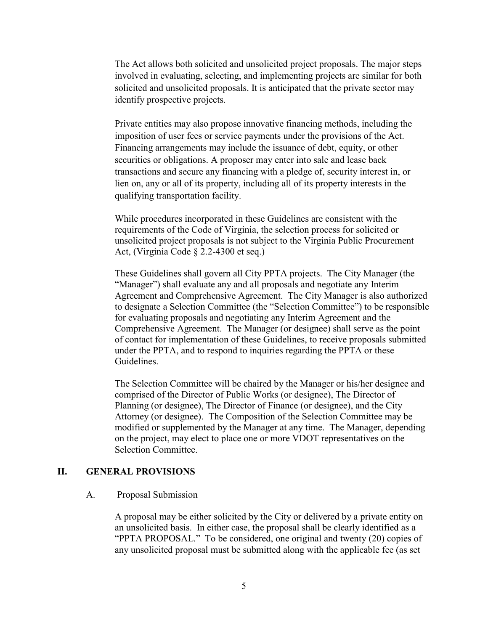The Act allows both solicited and unsolicited project proposals. The major steps involved in evaluating, selecting, and implementing projects are similar for both solicited and unsolicited proposals. It is anticipated that the private sector may identify prospective projects.

Private entities may also propose innovative financing methods, including the imposition of user fees or service payments under the provisions of the Act. Financing arrangements may include the issuance of debt, equity, or other securities or obligations. A proposer may enter into sale and lease back transactions and secure any financing with a pledge of, security interest in, or lien on, any or all of its property, including all of its property interests in the qualifying transportation facility.

While procedures incorporated in these Guidelines are consistent with the requirements of the Code of Virginia, the selection process for solicited or unsolicited project proposals is not subject to the Virginia Public Procurement Act, (Virginia Code § 2.2-4300 et seq.)

These Guidelines shall govern all City PPTA projects. The City Manager (the "Manager") shall evaluate any and all proposals and negotiate any Interim Agreement and Comprehensive Agreement. The City Manager is also authorized to designate a Selection Committee (the "Selection Committee") to be responsible for evaluating proposals and negotiating any Interim Agreement and the Comprehensive Agreement. The Manager (or designee) shall serve as the point of contact for implementation of these Guidelines, to receive proposals submitted under the PPTA, and to respond to inquiries regarding the PPTA or these Guidelines.

The Selection Committee will be chaired by the Manager or his/her designee and comprised of the Director of Public Works (or designee), The Director of Planning (or designee), The Director of Finance (or designee), and the City Attorney (or designee). The Composition of the Selection Committee may be modified or supplemented by the Manager at any time. The Manager, depending on the project, may elect to place one or more VDOT representatives on the Selection Committee.

#### **II. GENERAL PROVISIONS**

#### A. Proposal Submission

A proposal may be either solicited by the City or delivered by a private entity on an unsolicited basis. In either case, the proposal shall be clearly identified as a "PPTA PROPOSAL." To be considered, one original and twenty (20) copies of any unsolicited proposal must be submitted along with the applicable fee (as set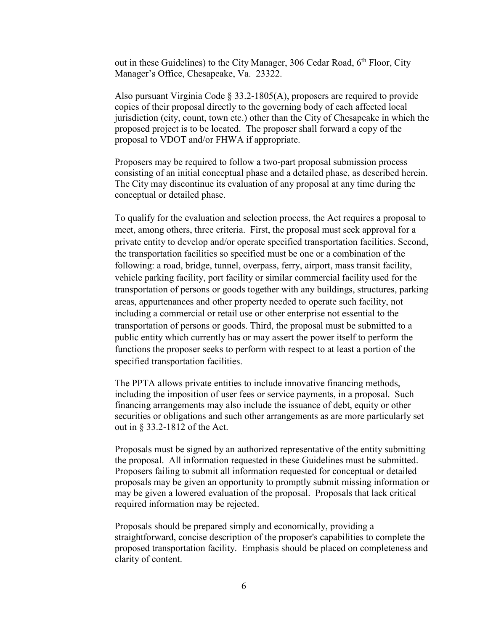out in these Guidelines) to the City Manager, 306 Cedar Road,  $6<sup>th</sup>$  Floor, City Manager's Office, Chesapeake, Va. 23322.

Also pursuant Virginia Code  $\S$  33.2-1805(A), proposers are required to provide copies of their proposal directly to the governing body of each affected local jurisdiction (city, count, town etc.) other than the City of Chesapeake in which the proposed project is to be located. The proposer shall forward a copy of the proposal to VDOT and/or FHWA if appropriate.

Proposers may be required to follow a two-part proposal submission process consisting of an initial conceptual phase and a detailed phase, as described herein. The City may discontinue its evaluation of any proposal at any time during the conceptual or detailed phase.

To qualify for the evaluation and selection process, the Act requires a proposal to meet, among others, three criteria. First, the proposal must seek approval for a private entity to develop and/or operate specified transportation facilities. Second, the transportation facilities so specified must be one or a combination of the following: a road, bridge, tunnel, overpass, ferry, airport, mass transit facility, vehicle parking facility, port facility or similar commercial facility used for the transportation of persons or goods together with any buildings, structures, parking areas, appurtenances and other property needed to operate such facility, not including a commercial or retail use or other enterprise not essential to the transportation of persons or goods. Third, the proposal must be submitted to a public entity which currently has or may assert the power itself to perform the functions the proposer seeks to perform with respect to at least a portion of the specified transportation facilities.

The PPTA allows private entities to include innovative financing methods, including the imposition of user fees or service payments, in a proposal. Such financing arrangements may also include the issuance of debt, equity or other securities or obligations and such other arrangements as are more particularly set out in § 33.2-1812 of the Act.

Proposals must be signed by an authorized representative of the entity submitting the proposal. All information requested in these Guidelines must be submitted. Proposers failing to submit all information requested for conceptual or detailed proposals may be given an opportunity to promptly submit missing information or may be given a lowered evaluation of the proposal. Proposals that lack critical required information may be rejected.

Proposals should be prepared simply and economically, providing a straightforward, concise description of the proposer's capabilities to complete the proposed transportation facility. Emphasis should be placed on completeness and clarity of content.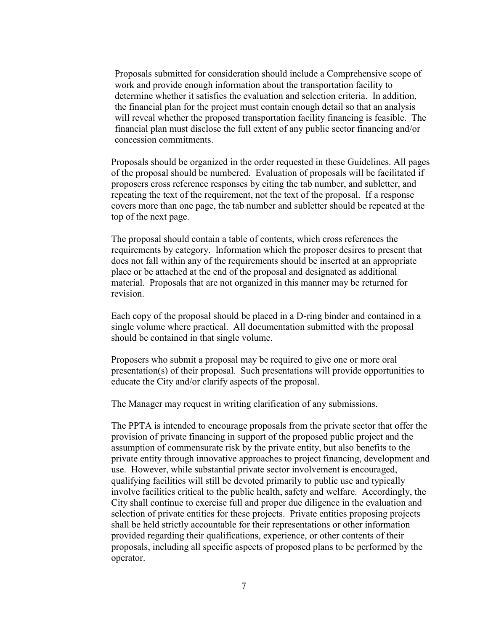Proposals submitted for consideration should include a Comprehensive scope of work and provide enough information about the transportation facility to determine whether it satisfies the evaluation and selection criteria. In addition, the financial plan for the project must contain enough detail so that an analysis will reveal whether the proposed transportation facility financing is feasible. The financial plan must disclose the full extent of any public sector financing and/or concession commitments.

Proposals should be organized in the order requested in these Guidelines. All pages of the proposal should be numbered. Evaluation of proposals will be facilitated if proposers cross reference responses by citing the tab number, and subletter, and repeating the text of the requirement, not the text of the proposal. If a response covers more than one page, the tab number and subletter should be repeated at the top of the next page.

The proposal should contain a table of contents, which cross references the requirements by category. Information which the proposer desires to present that does not fall within any of the requirements should be inserted at an appropriate place or be attached at the end of the proposal and designated as additional material. Proposals that are not organized in this manner may be returned for revision.

Each copy of the proposal should be placed in a D-ring binder and contained in a single volume where practical. All documentation submitted with the proposal should be contained in that single volume.

Proposers who submit a proposal may be required to give one or more oral presentation(s) of their proposal. Such presentations will provide opportunities to educate the City and/or clarify aspects of the proposal.

The Manager may request in writing clarification of any submissions.

The PPTA is intended to encourage proposals from the private sector that offer the provision of private financing in support of the proposed public project and the assumption of commensurate risk by the private entity, but also benefits to the private entity through innovative approaches to project financing, development and use. However, while substantial private sector involvement is encouraged, qualifying facilities will still be devoted primarily to public use and typically involve facilities critical to the public health, safety and welfare. Accordingly, the City shall continue to exercise full and proper due diligence in the evaluation and selection of private entities for these projects. Private entities proposing projects shall be held strictly accountable for their representations or other information provided regarding their qualifications, experience, or other contents of their proposals, including all specific aspects of proposed plans to be performed by the operator.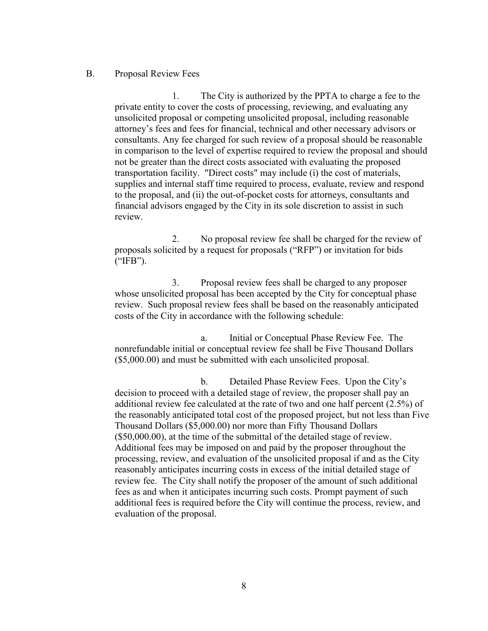### B. Proposal Review Fees

 1. The City is authorized by the PPTA to charge a fee to the private entity to cover the costs of processing, reviewing, and evaluating any unsolicited proposal or competing unsolicited proposal, including reasonable attorney's fees and fees for financial, technical and other necessary advisors or consultants. Any fee charged for such review of a proposal should be reasonable in comparison to the level of expertise required to review the proposal and should not be greater than the direct costs associated with evaluating the proposed transportation facility. "Direct costs" may include (i) the cost of materials, supplies and internal staff time required to process, evaluate, review and respond to the proposal, and (ii) the out-of-pocket costs for attorneys, consultants and financial advisors engaged by the City in its sole discretion to assist in such review.

 2. No proposal review fee shall be charged for the review of proposals solicited by a request for proposals ("RFP") or invitation for bids ("IFB").

 3. Proposal review fees shall be charged to any proposer whose unsolicited proposal has been accepted by the City for conceptual phase review. Such proposal review fees shall be based on the reasonably anticipated costs of the City in accordance with the following schedule:

 a. Initial or Conceptual Phase Review Fee. The nonrefundable initial or conceptual review fee shall be Five Thousand Dollars (\$5,000.00) and must be submitted with each unsolicited proposal.

 b. Detailed Phase Review Fees. Upon the City's decision to proceed with a detailed stage of review, the proposer shall pay an additional review fee calculated at the rate of two and one half percent (2.5%) of the reasonably anticipated total cost of the proposed project, but not less than Five Thousand Dollars (\$5,000.00) nor more than Fifty Thousand Dollars (\$50,000.00), at the time of the submittal of the detailed stage of review. Additional fees may be imposed on and paid by the proposer throughout the processing, review, and evaluation of the unsolicited proposal if and as the City reasonably anticipates incurring costs in excess of the initial detailed stage of review fee. The City shall notify the proposer of the amount of such additional fees as and when it anticipates incurring such costs. Prompt payment of such additional fees is required before the City will continue the process, review, and evaluation of the proposal.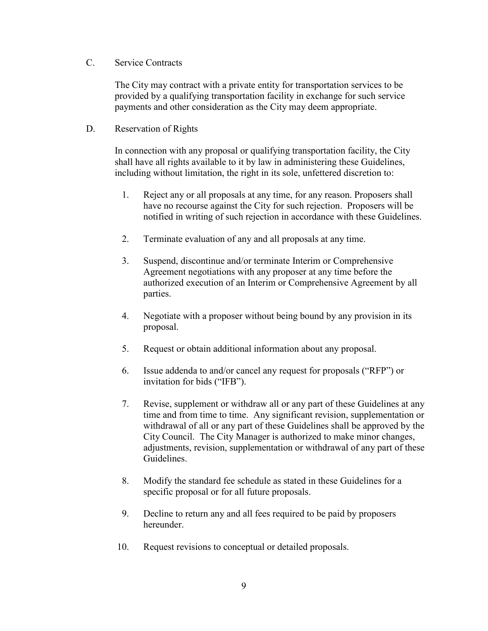### C. Service Contracts

 The City may contract with a private entity for transportation services to be provided by a qualifying transportation facility in exchange for such service payments and other consideration as the City may deem appropriate.

### D. Reservation of Rights

In connection with any proposal or qualifying transportation facility, the City shall have all rights available to it by law in administering these Guidelines, including without limitation, the right in its sole, unfettered discretion to:

- 1. Reject any or all proposals at any time, for any reason. Proposers shall have no recourse against the City for such rejection. Proposers will be notified in writing of such rejection in accordance with these Guidelines.
- 2. Terminate evaluation of any and all proposals at any time.
- 3. Suspend, discontinue and/or terminate Interim or Comprehensive Agreement negotiations with any proposer at any time before the authorized execution of an Interim or Comprehensive Agreement by all parties.
- 4. Negotiate with a proposer without being bound by any provision in its proposal.
- 5. Request or obtain additional information about any proposal.
- 6. Issue addenda to and/or cancel any request for proposals ("RFP") or invitation for bids ("IFB").
- 7. Revise, supplement or withdraw all or any part of these Guidelines at any time and from time to time. Any significant revision, supplementation or withdrawal of all or any part of these Guidelines shall be approved by the City Council. The City Manager is authorized to make minor changes, adjustments, revision, supplementation or withdrawal of any part of these Guidelines.
- 8. Modify the standard fee schedule as stated in these Guidelines for a specific proposal or for all future proposals.
- 9. Decline to return any and all fees required to be paid by proposers hereunder.
- 10. Request revisions to conceptual or detailed proposals.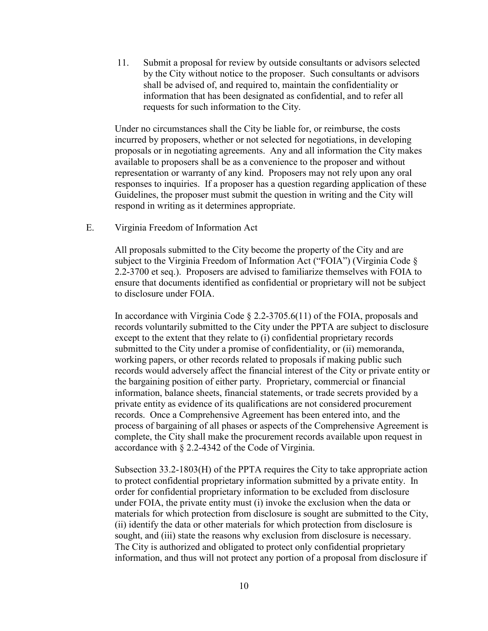11. Submit a proposal for review by outside consultants or advisors selected by the City without notice to the proposer. Such consultants or advisors shall be advised of, and required to, maintain the confidentiality or information that has been designated as confidential, and to refer all requests for such information to the City.

Under no circumstances shall the City be liable for, or reimburse, the costs incurred by proposers, whether or not selected for negotiations, in developing proposals or in negotiating agreements. Any and all information the City makes available to proposers shall be as a convenience to the proposer and without representation or warranty of any kind. Proposers may not rely upon any oral responses to inquiries. If a proposer has a question regarding application of these Guidelines, the proposer must submit the question in writing and the City will respond in writing as it determines appropriate.

E. Virginia Freedom of Information Act

All proposals submitted to the City become the property of the City and are subject to the Virginia Freedom of Information Act ("FOIA") (Virginia Code § 2.2-3700 et seq.). Proposers are advised to familiarize themselves with FOIA to ensure that documents identified as confidential or proprietary will not be subject to disclosure under FOIA.

In accordance with Virginia Code § 2.2-3705.6(11) of the FOIA, proposals and records voluntarily submitted to the City under the PPTA are subject to disclosure except to the extent that they relate to (i) confidential proprietary records submitted to the City under a promise of confidentiality, or (ii) memoranda, working papers, or other records related to proposals if making public such records would adversely affect the financial interest of the City or private entity or the bargaining position of either party. Proprietary, commercial or financial information, balance sheets, financial statements, or trade secrets provided by a private entity as evidence of its qualifications are not considered procurement records. Once a Comprehensive Agreement has been entered into, and the process of bargaining of all phases or aspects of the Comprehensive Agreement is complete, the City shall make the procurement records available upon request in accordance with § 2.2-4342 of the Code of Virginia.

Subsection 33.2-1803(H) of the PPTA requires the City to take appropriate action to protect confidential proprietary information submitted by a private entity. In order for confidential proprietary information to be excluded from disclosure under FOIA, the private entity must (i) invoke the exclusion when the data or materials for which protection from disclosure is sought are submitted to the City, (ii) identify the data or other materials for which protection from disclosure is sought, and (iii) state the reasons why exclusion from disclosure is necessary. The City is authorized and obligated to protect only confidential proprietary information, and thus will not protect any portion of a proposal from disclosure if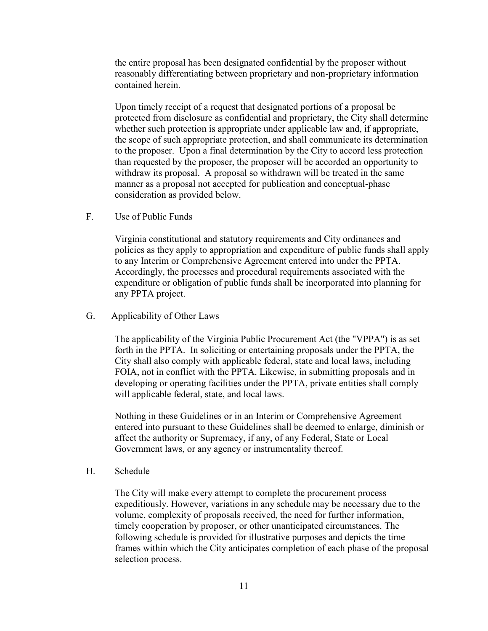the entire proposal has been designated confidential by the proposer without reasonably differentiating between proprietary and non-proprietary information contained herein.

Upon timely receipt of a request that designated portions of a proposal be protected from disclosure as confidential and proprietary, the City shall determine whether such protection is appropriate under applicable law and, if appropriate, the scope of such appropriate protection, and shall communicate its determination to the proposer. Upon a final determination by the City to accord less protection than requested by the proposer, the proposer will be accorded an opportunity to withdraw its proposal. A proposal so withdrawn will be treated in the same manner as a proposal not accepted for publication and conceptual-phase consideration as provided below.

F. Use of Public Funds

Virginia constitutional and statutory requirements and City ordinances and policies as they apply to appropriation and expenditure of public funds shall apply to any Interim or Comprehensive Agreement entered into under the PPTA. Accordingly, the processes and procedural requirements associated with the expenditure or obligation of public funds shall be incorporated into planning for any PPTA project.

G. Applicability of Other Laws

The applicability of the Virginia Public Procurement Act (the "VPPA") is as set forth in the PPTA. In soliciting or entertaining proposals under the PPTA, the City shall also comply with applicable federal, state and local laws, including FOIA, not in conflict with the PPTA. Likewise, in submitting proposals and in developing or operating facilities under the PPTA, private entities shall comply will applicable federal, state, and local laws.

Nothing in these Guidelines or in an Interim or Comprehensive Agreement entered into pursuant to these Guidelines shall be deemed to enlarge, diminish or affect the authority or Supremacy, if any, of any Federal, State or Local Government laws, or any agency or instrumentality thereof.

H. Schedule

The City will make every attempt to complete the procurement process expeditiously. However, variations in any schedule may be necessary due to the volume, complexity of proposals received, the need for further information, timely cooperation by proposer, or other unanticipated circumstances. The following schedule is provided for illustrative purposes and depicts the time frames within which the City anticipates completion of each phase of the proposal selection process.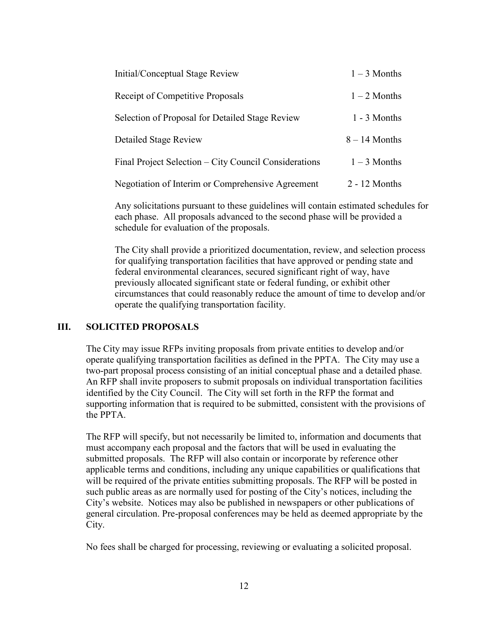| Initial/Conceptual Stage Review                       | $1 - 3$ Months  |
|-------------------------------------------------------|-----------------|
| <b>Receipt of Competitive Proposals</b>               | $1 - 2$ Months  |
| Selection of Proposal for Detailed Stage Review       | $1 - 3$ Months  |
| <b>Detailed Stage Review</b>                          | $8 - 14$ Months |
| Final Project Selection – City Council Considerations | $1 - 3$ Months  |
| Negotiation of Interim or Comprehensive Agreement     | $2 - 12$ Months |

Any solicitations pursuant to these guidelines will contain estimated schedules for each phase. All proposals advanced to the second phase will be provided a schedule for evaluation of the proposals.

The City shall provide a prioritized documentation, review, and selection process for qualifying transportation facilities that have approved or pending state and federal environmental clearances, secured significant right of way, have previously allocated significant state or federal funding, or exhibit other circumstances that could reasonably reduce the amount of time to develop and/or operate the qualifying transportation facility.

### **III. SOLICITED PROPOSALS**

The City may issue RFPs inviting proposals from private entities to develop and/or operate qualifying transportation facilities as defined in the PPTA. The City may use a two-part proposal process consisting of an initial conceptual phase and a detailed phase*.* An RFP shall invite proposers to submit proposals on individual transportation facilities identified by the City Council. The City will set forth in the RFP the format and supporting information that is required to be submitted, consistent with the provisions of the PPTA.

The RFP will specify, but not necessarily be limited to, information and documents that must accompany each proposal and the factors that will be used in evaluating the submitted proposals. The RFP will also contain or incorporate by reference other applicable terms and conditions, including any unique capabilities or qualifications that will be required of the private entities submitting proposals. The RFP will be posted in such public areas as are normally used for posting of the City's notices, including the City's website. Notices may also be published in newspapers or other publications of general circulation. Pre-proposal conferences may be held as deemed appropriate by the City.

No fees shall be charged for processing, reviewing or evaluating a solicited proposal.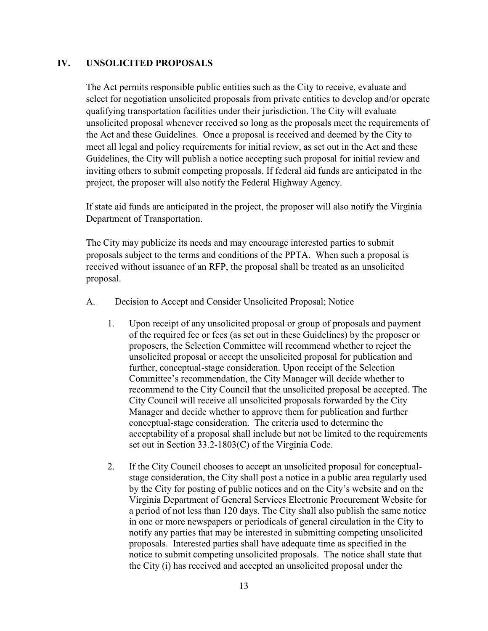### **IV. UNSOLICITED PROPOSALS**

The Act permits responsible public entities such as the City to receive, evaluate and select for negotiation unsolicited proposals from private entities to develop and/or operate qualifying transportation facilities under their jurisdiction. The City will evaluate unsolicited proposal whenever received so long as the proposals meet the requirements of the Act and these Guidelines. Once a proposal is received and deemed by the City to meet all legal and policy requirements for initial review, as set out in the Act and these Guidelines, the City will publish a notice accepting such proposal for initial review and inviting others to submit competing proposals. If federal aid funds are anticipated in the project, the proposer will also notify the Federal Highway Agency.

If state aid funds are anticipated in the project, the proposer will also notify the Virginia Department of Transportation.

The City may publicize its needs and may encourage interested parties to submit proposals subject to the terms and conditions of the PPTA. When such a proposal is received without issuance of an RFP, the proposal shall be treated as an unsolicited proposal.

- A. Decision to Accept and Consider Unsolicited Proposal; Notice
	- 1. Upon receipt of any unsolicited proposal or group of proposals and payment of the required fee or fees (as set out in these Guidelines) by the proposer or proposers, the Selection Committee will recommend whether to reject the unsolicited proposal or accept the unsolicited proposal for publication and further, conceptual-stage consideration. Upon receipt of the Selection Committee's recommendation, the City Manager will decide whether to recommend to the City Council that the unsolicited proposal be accepted. The City Council will receive all unsolicited proposals forwarded by the City Manager and decide whether to approve them for publication and further conceptual-stage consideration. The criteria used to determine the acceptability of a proposal shall include but not be limited to the requirements set out in Section 33.2-1803(C) of the Virginia Code.
	- 2. If the City Council chooses to accept an unsolicited proposal for conceptualstage consideration, the City shall post a notice in a public area regularly used by the City for posting of public notices and on the City's website and on the Virginia Department of General Services Electronic Procurement Website for a period of not less than 120 days. The City shall also publish the same notice in one or more newspapers or periodicals of general circulation in the City to notify any parties that may be interested in submitting competing unsolicited proposals. Interested parties shall have adequate time as specified in the notice to submit competing unsolicited proposals. The notice shall state that the City (i) has received and accepted an unsolicited proposal under the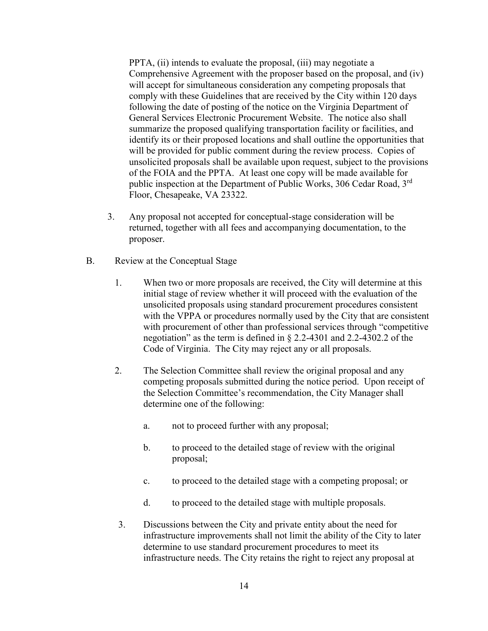PPTA, (ii) intends to evaluate the proposal, (iii) may negotiate a Comprehensive Agreement with the proposer based on the proposal, and (iv) will accept for simultaneous consideration any competing proposals that comply with these Guidelines that are received by the City within 120 days following the date of posting of the notice on the Virginia Department of General Services Electronic Procurement Website. The notice also shall summarize the proposed qualifying transportation facility or facilities, and identify its or their proposed locations and shall outline the opportunities that will be provided for public comment during the review process. Copies of unsolicited proposals shall be available upon request, subject to the provisions of the FOIA and the PPTA. At least one copy will be made available for public inspection at the Department of Public Works, 306 Cedar Road, 3<sup>rd</sup> Floor, Chesapeake, VA 23322.

- 3. Any proposal not accepted for conceptual-stage consideration will be returned, together with all fees and accompanying documentation, to the proposer.
- B. Review at the Conceptual Stage
	- 1. When two or more proposals are received, the City will determine at this initial stage of review whether it will proceed with the evaluation of the unsolicited proposals using standard procurement procedures consistent with the VPPA or procedures normally used by the City that are consistent with procurement of other than professional services through "competitive negotiation" as the term is defined in § 2.2-4301 and 2.2-4302.2 of the Code of Virginia. The City may reject any or all proposals.
	- 2. The Selection Committee shall review the original proposal and any competing proposals submitted during the notice period. Upon receipt of the Selection Committee's recommendation, the City Manager shall determine one of the following:
		- a. not to proceed further with any proposal;
		- b. to proceed to the detailed stage of review with the original proposal;
		- c. to proceed to the detailed stage with a competing proposal; or
		- d. to proceed to the detailed stage with multiple proposals.
	- 3. Discussions between the City and private entity about the need for infrastructure improvements shall not limit the ability of the City to later determine to use standard procurement procedures to meet its infrastructure needs. The City retains the right to reject any proposal at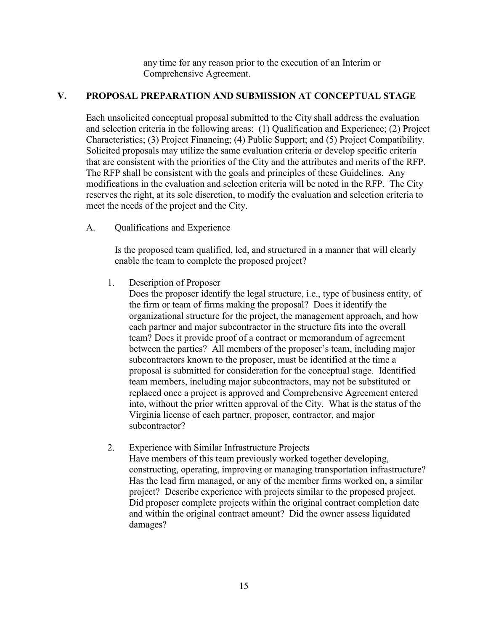any time for any reason prior to the execution of an Interim or Comprehensive Agreement.

# **V. PROPOSAL PREPARATION AND SUBMISSION AT CONCEPTUAL STAGE**

Each unsolicited conceptual proposal submitted to the City shall address the evaluation and selection criteria in the following areas: (1) Qualification and Experience; (2) Project Characteristics; (3) Project Financing; (4) Public Support; and (5) Project Compatibility. Solicited proposals may utilize the same evaluation criteria or develop specific criteria that are consistent with the priorities of the City and the attributes and merits of the RFP. The RFP shall be consistent with the goals and principles of these Guidelines. Any modifications in the evaluation and selection criteria will be noted in the RFP. The City reserves the right, at its sole discretion, to modify the evaluation and selection criteria to meet the needs of the project and the City.

A. Qualifications and Experience

Is the proposed team qualified, led, and structured in a manner that will clearly enable the team to complete the proposed project?

1. Description of Proposer

Does the proposer identify the legal structure, i.e., type of business entity, of the firm or team of firms making the proposal? Does it identify the organizational structure for the project, the management approach, and how each partner and major subcontractor in the structure fits into the overall team? Does it provide proof of a contract or memorandum of agreement between the parties? All members of the proposer's team, including major subcontractors known to the proposer, must be identified at the time a proposal is submitted for consideration for the conceptual stage. Identified team members, including major subcontractors, may not be substituted or replaced once a project is approved and Comprehensive Agreement entered into, without the prior written approval of the City. What is the status of the Virginia license of each partner, proposer, contractor, and major subcontractor?

2. Experience with Similar Infrastructure Projects

Have members of this team previously worked together developing, constructing, operating, improving or managing transportation infrastructure? Has the lead firm managed, or any of the member firms worked on, a similar project? Describe experience with projects similar to the proposed project. Did proposer complete projects within the original contract completion date and within the original contract amount? Did the owner assess liquidated damages?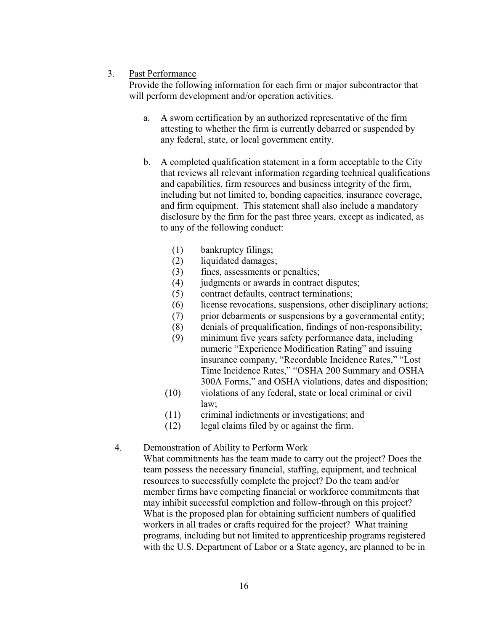### 3. Past Performance

Provide the following information for each firm or major subcontractor that will perform development and/or operation activities.

- a. A sworn certification by an authorized representative of the firm attesting to whether the firm is currently debarred or suspended by any federal, state, or local government entity.
- b. A completed qualification statement in a form acceptable to the City that reviews all relevant information regarding technical qualifications and capabilities, firm resources and business integrity of the firm, including but not limited to, bonding capacities, insurance coverage, and firm equipment. This statement shall also include a mandatory disclosure by the firm for the past three years, except as indicated, as to any of the following conduct:
	- (1) bankruptcy filings;
	- (2) liquidated damages;
	- (3) fines, assessments or penalties;
	- (4) judgments or awards in contract disputes;
	- (5) contract defaults, contract terminations;
	- (6) license revocations, suspensions, other disciplinary actions;
	- (7) prior debarments or suspensions by a governmental entity;
	- (8) denials of prequalification, findings of non-responsibility;
	- (9) minimum five years safety performance data, including numeric "Experience Modification Rating" and issuing insurance company, "Recordable Incidence Rates," "Lost Time Incidence Rates," "OSHA 200 Summary and OSHA 300A Forms," and OSHA violations, dates and disposition;
	- (10) violations of any federal, state or local criminal or civil law;
	- (11) criminal indictments or investigations; and
	- (12) legal claims filed by or against the firm.

# 4. Demonstration of Ability to Perform Work

What commitments has the team made to carry out the project? Does the team possess the necessary financial, staffing, equipment, and technical resources to successfully complete the project? Do the team and/or member firms have competing financial or workforce commitments that may inhibit successful completion and follow-through on this project? What is the proposed plan for obtaining sufficient numbers of qualified workers in all trades or crafts required for the project? What training programs, including but not limited to apprenticeship programs registered with the U.S. Department of Labor or a State agency, are planned to be in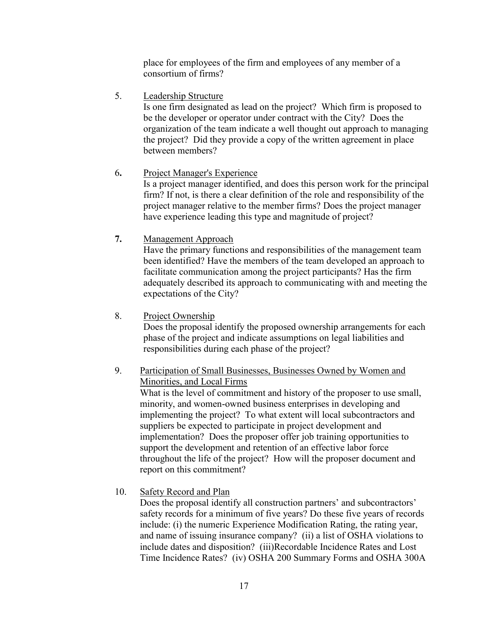place for employees of the firm and employees of any member of a consortium of firms?

5. Leadership Structure

Is one firm designated as lead on the project? Which firm is proposed to be the developer or operator under contract with the City? Does the organization of the team indicate a well thought out approach to managing the project? Did they provide a copy of the written agreement in place between members?

# 6**.** Project Manager's Experience

Is a project manager identified, and does this person work for the principal firm? If not, is there a clear definition of the role and responsibility of the project manager relative to the member firms? Does the project manager have experience leading this type and magnitude of project?

**7.** Management Approach

Have the primary functions and responsibilities of the management team been identified? Have the members of the team developed an approach to facilitate communication among the project participants? Has the firm adequately described its approach to communicating with and meeting the expectations of the City?

8. Project Ownership

Does the proposal identify the proposed ownership arrangements for each phase of the project and indicate assumptions on legal liabilities and responsibilities during each phase of the project?

# 9. Participation of Small Businesses, Businesses Owned by Women and Minorities, and Local Firms

What is the level of commitment and history of the proposer to use small, minority, and women-owned business enterprises in developing and implementing the project? To what extent will local subcontractors and suppliers be expected to participate in project development and implementation? Does the proposer offer job training opportunities to support the development and retention of an effective labor force throughout the life of the project? How will the proposer document and report on this commitment?

10. Safety Record and Plan

Does the proposal identify all construction partners' and subcontractors' safety records for a minimum of five years? Do these five years of records include: (i) the numeric Experience Modification Rating, the rating year, and name of issuing insurance company? (ii) a list of OSHA violations to include dates and disposition? (iii)Recordable Incidence Rates and Lost Time Incidence Rates? (iv) OSHA 200 Summary Forms and OSHA 300A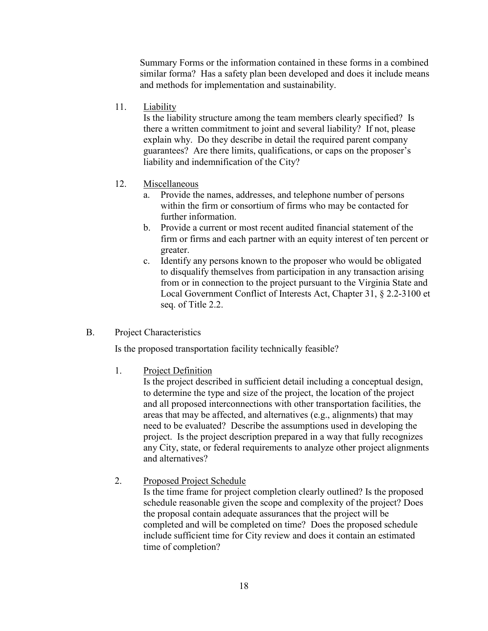Summary Forms or the information contained in these forms in a combined similar forma? Has a safety plan been developed and does it include means and methods for implementation and sustainability.

11. Liability

Is the liability structure among the team members clearly specified? Is there a written commitment to joint and several liability? If not, please explain why. Do they describe in detail the required parent company guarantees? Are there limits, qualifications, or caps on the proposer's liability and indemnification of the City?

- 12. Miscellaneous
	- a. Provide the names, addresses, and telephone number of persons within the firm or consortium of firms who may be contacted for further information.
	- b. Provide a current or most recent audited financial statement of the firm or firms and each partner with an equity interest of ten percent or greater.
	- c. Identify any persons known to the proposer who would be obligated to disqualify themselves from participation in any transaction arising from or in connection to the project pursuant to the Virginia State and Local Government Conflict of Interests Act, Chapter 31, § 2.2-3100 et seq. of Title 2.2.
- B. Project Characteristics

Is the proposed transportation facility technically feasible?

1. Project Definition

Is the project described in sufficient detail including a conceptual design, to determine the type and size of the project, the location of the project and all proposed interconnections with other transportation facilities, the areas that may be affected, and alternatives (e.g., alignments) that may need to be evaluated? Describe the assumptions used in developing the project. Is the project description prepared in a way that fully recognizes any City, state, or federal requirements to analyze other project alignments and alternatives?

2. Proposed Project Schedule

Is the time frame for project completion clearly outlined? Is the proposed schedule reasonable given the scope and complexity of the project? Does the proposal contain adequate assurances that the project will be completed and will be completed on time? Does the proposed schedule include sufficient time for City review and does it contain an estimated time of completion?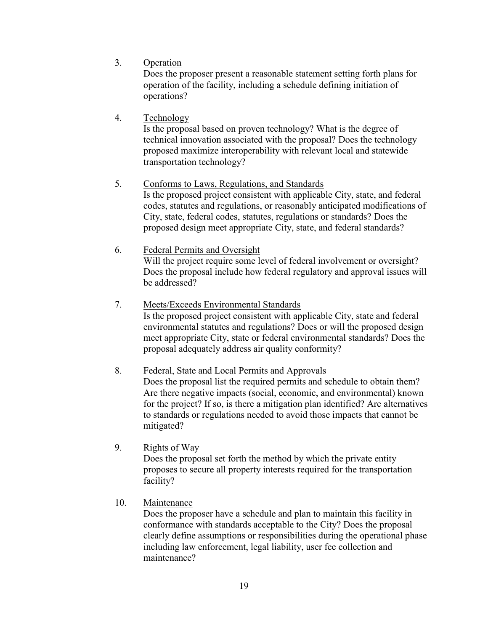3. Operation

Does the proposer present a reasonable statement setting forth plans for operation of the facility, including a schedule defining initiation of operations?

4. Technology

Is the proposal based on proven technology? What is the degree of technical innovation associated with the proposal? Does the technology proposed maximize interoperability with relevant local and statewide transportation technology?

# 5. Conforms to Laws, Regulations, and Standards

Is the proposed project consistent with applicable City, state, and federal codes, statutes and regulations, or reasonably anticipated modifications of City, state, federal codes, statutes, regulations or standards? Does the proposed design meet appropriate City, state, and federal standards?

- 6. Federal Permits and Oversight Will the project require some level of federal involvement or oversight? Does the proposal include how federal regulatory and approval issues will be addressed?
- 7. Meets/Exceeds Environmental Standards Is the proposed project consistent with applicable City, state and federal environmental statutes and regulations? Does or will the proposed design meet appropriate City, state or federal environmental standards? Does the proposal adequately address air quality conformity?

# 8. Federal, State and Local Permits and Approvals

Does the proposal list the required permits and schedule to obtain them? Are there negative impacts (social, economic, and environmental) known for the project? If so, is there a mitigation plan identified? Are alternatives to standards or regulations needed to avoid those impacts that cannot be mitigated?

9. Rights of Way

Does the proposal set forth the method by which the private entity proposes to secure all property interests required for the transportation facility?

10. Maintenance

Does the proposer have a schedule and plan to maintain this facility in conformance with standards acceptable to the City? Does the proposal clearly define assumptions or responsibilities during the operational phase including law enforcement, legal liability, user fee collection and maintenance?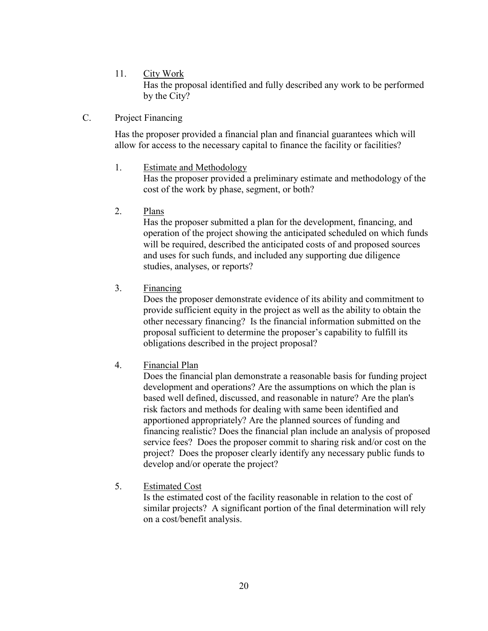11. City Work

Has the proposal identified and fully described any work to be performed by the City?

C. Project Financing

Has the proposer provided a financial plan and financial guarantees which will allow for access to the necessary capital to finance the facility or facilities?

1. Estimate and Methodology

Has the proposer provided a preliminary estimate and methodology of the cost of the work by phase, segment, or both?

2. Plans

Has the proposer submitted a plan for the development, financing, and operation of the project showing the anticipated scheduled on which funds will be required, described the anticipated costs of and proposed sources and uses for such funds, and included any supporting due diligence studies, analyses, or reports?

3. Financing

Does the proposer demonstrate evidence of its ability and commitment to provide sufficient equity in the project as well as the ability to obtain the other necessary financing? Is the financial information submitted on the proposal sufficient to determine the proposer's capability to fulfill its obligations described in the project proposal?

4. Financial Plan

Does the financial plan demonstrate a reasonable basis for funding project development and operations? Are the assumptions on which the plan is based well defined, discussed, and reasonable in nature? Are the plan's risk factors and methods for dealing with same been identified and apportioned appropriately? Are the planned sources of funding and financing realistic? Does the financial plan include an analysis of proposed service fees? Does the proposer commit to sharing risk and/or cost on the project? Does the proposer clearly identify any necessary public funds to develop and/or operate the project?

5. Estimated Cost

 Is the estimated cost of the facility reasonable in relation to the cost of similar projects? A significant portion of the final determination will rely on a cost/benefit analysis.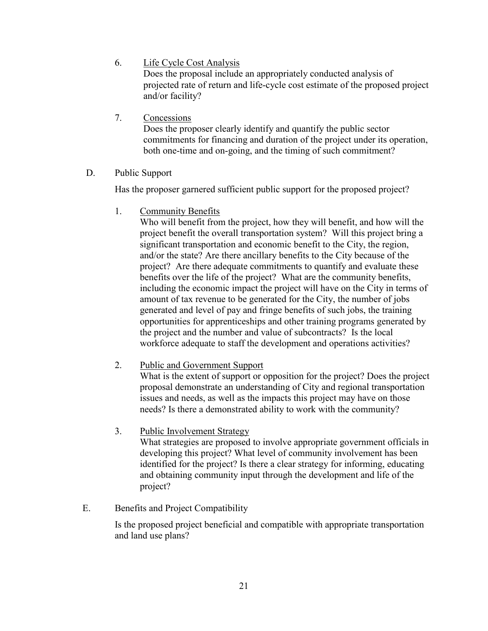6. Life Cycle Cost Analysis

 Does the proposal include an appropriately conducted analysis of projected rate of return and life-cycle cost estimate of the proposed project and/or facility?

7. Concessions

Does the proposer clearly identify and quantify the public sector commitments for financing and duration of the project under its operation, both one-time and on-going, and the timing of such commitment?

D. Public Support

Has the proposer garnered sufficient public support for the proposed project?

1. Community Benefits

Who will benefit from the project, how they will benefit, and how will the project benefit the overall transportation system? Will this project bring a significant transportation and economic benefit to the City, the region, and/or the state? Are there ancillary benefits to the City because of the project? Are there adequate commitments to quantify and evaluate these benefits over the life of the project? What are the community benefits, including the economic impact the project will have on the City in terms of amount of tax revenue to be generated for the City, the number of jobs generated and level of pay and fringe benefits of such jobs, the training opportunities for apprenticeships and other training programs generated by the project and the number and value of subcontracts? Is the local workforce adequate to staff the development and operations activities?

2. Public and Government Support

What is the extent of support or opposition for the project? Does the project proposal demonstrate an understanding of City and regional transportation issues and needs, as well as the impacts this project may have on those needs? Is there a demonstrated ability to work with the community?

3. Public Involvement Strategy

What strategies are proposed to involve appropriate government officials in developing this project? What level of community involvement has been identified for the project? Is there a clear strategy for informing, educating and obtaining community input through the development and life of the project?

# E. Benefits and Project Compatibility

Is the proposed project beneficial and compatible with appropriate transportation and land use plans?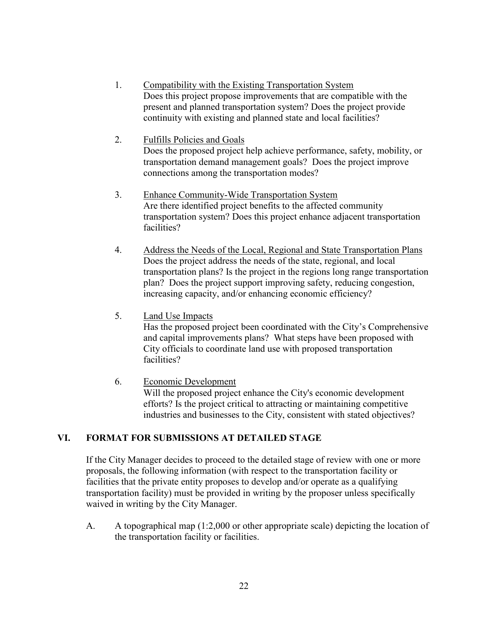- 1. Compatibility with the Existing Transportation System Does this project propose improvements that are compatible with the present and planned transportation system? Does the project provide continuity with existing and planned state and local facilities?
- 2. Fulfills Policies and Goals Does the proposed project help achieve performance, safety, mobility, or transportation demand management goals? Does the project improve connections among the transportation modes?
- 3. Enhance Community-Wide Transportation System Are there identified project benefits to the affected community transportation system? Does this project enhance adjacent transportation facilities?
- 4. Address the Needs of the Local, Regional and State Transportation Plans Does the project address the needs of the state, regional, and local transportation plans? Is the project in the regions long range transportation plan? Does the project support improving safety, reducing congestion, increasing capacity, and/or enhancing economic efficiency?
- 5. Land Use Impacts

Has the proposed project been coordinated with the City's Comprehensive and capital improvements plans? What steps have been proposed with City officials to coordinate land use with proposed transportation facilities?

6. Economic Development Will the proposed project enhance the City's economic development efforts? Is the project critical to attracting or maintaining competitive industries and businesses to the City, consistent with stated objectives?

# **VI. FORMAT FOR SUBMISSIONS AT DETAILED STAGE**

If the City Manager decides to proceed to the detailed stage of review with one or more proposals, the following information (with respect to the transportation facility or facilities that the private entity proposes to develop and/or operate as a qualifying transportation facility) must be provided in writing by the proposer unless specifically waived in writing by the City Manager.

 A. A topographical map (1:2,000 or other appropriate scale) depicting the location of the transportation facility or facilities.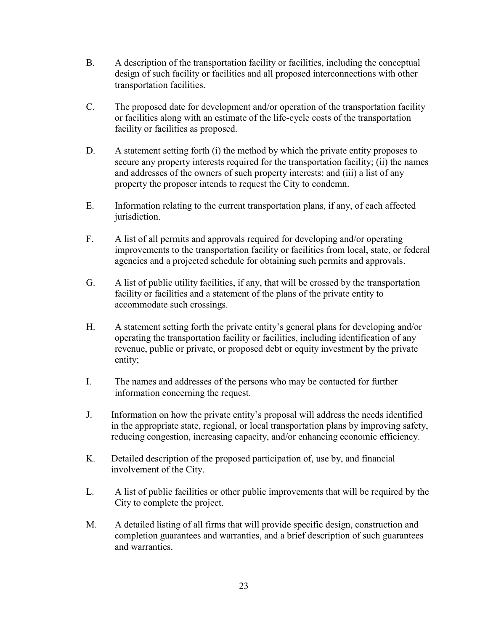- B. A description of the transportation facility or facilities, including the conceptual design of such facility or facilities and all proposed interconnections with other transportation facilities.
- C. The proposed date for development and/or operation of the transportation facility or facilities along with an estimate of the life-cycle costs of the transportation facility or facilities as proposed.
- D. A statement setting forth (i) the method by which the private entity proposes to secure any property interests required for the transportation facility; (ii) the names and addresses of the owners of such property interests; and (iii) a list of any property the proposer intends to request the City to condemn.
- E. Information relating to the current transportation plans, if any, of each affected jurisdiction.
- F. A list of all permits and approvals required for developing and/or operating improvements to the transportation facility or facilities from local, state, or federal agencies and a projected schedule for obtaining such permits and approvals.
- G. A list of public utility facilities, if any, that will be crossed by the transportation facility or facilities and a statement of the plans of the private entity to accommodate such crossings.
- H. A statement setting forth the private entity's general plans for developing and/or operating the transportation facility or facilities, including identification of any revenue, public or private, or proposed debt or equity investment by the private entity;
- I. The names and addresses of the persons who may be contacted for further information concerning the request.
- J. Information on how the private entity's proposal will address the needs identified in the appropriate state, regional, or local transportation plans by improving safety, reducing congestion, increasing capacity, and/or enhancing economic efficiency.
- K. Detailed description of the proposed participation of, use by, and financial involvement of the City.
- L. A list of public facilities or other public improvements that will be required by the City to complete the project.
- M. A detailed listing of all firms that will provide specific design, construction and completion guarantees and warranties, and a brief description of such guarantees and warranties.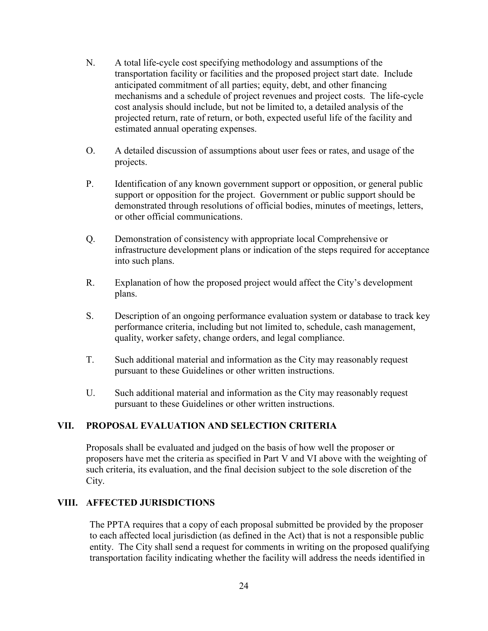- N. A total life-cycle cost specifying methodology and assumptions of the transportation facility or facilities and the proposed project start date. Include anticipated commitment of all parties; equity, debt, and other financing mechanisms and a schedule of project revenues and project costs. The life-cycle cost analysis should include, but not be limited to, a detailed analysis of the projected return, rate of return, or both, expected useful life of the facility and estimated annual operating expenses.
- O. A detailed discussion of assumptions about user fees or rates, and usage of the projects.
- P. Identification of any known government support or opposition, or general public support or opposition for the project. Government or public support should be demonstrated through resolutions of official bodies, minutes of meetings, letters, or other official communications.
- Q. Demonstration of consistency with appropriate local Comprehensive or infrastructure development plans or indication of the steps required for acceptance into such plans.
- R. Explanation of how the proposed project would affect the City's development plans.
- S. Description of an ongoing performance evaluation system or database to track key performance criteria, including but not limited to, schedule, cash management, quality, worker safety, change orders, and legal compliance.
- T. Such additional material and information as the City may reasonably request pursuant to these Guidelines or other written instructions.
- U. Such additional material and information as the City may reasonably request pursuant to these Guidelines or other written instructions.

# **VII. PROPOSAL EVALUATION AND SELECTION CRITERIA**

Proposals shall be evaluated and judged on the basis of how well the proposer or proposers have met the criteria as specified in Part V and VI above with the weighting of such criteria, its evaluation, and the final decision subject to the sole discretion of the City.

### **VIII. AFFECTED JURISDICTIONS**

The PPTA requires that a copy of each proposal submitted be provided by the proposer to each affected local jurisdiction (as defined in the Act) that is not a responsible public entity. The City shall send a request for comments in writing on the proposed qualifying transportation facility indicating whether the facility will address the needs identified in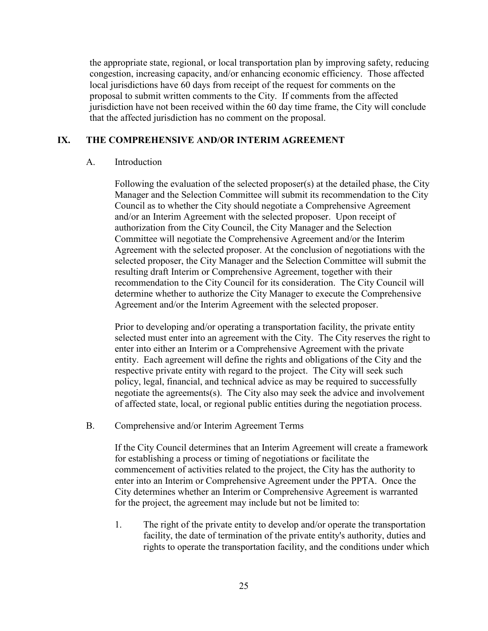the appropriate state, regional, or local transportation plan by improving safety, reducing congestion, increasing capacity, and/or enhancing economic efficiency. Those affected local jurisdictions have 60 days from receipt of the request for comments on the proposal to submit written comments to the City. If comments from the affected jurisdiction have not been received within the 60 day time frame, the City will conclude that the affected jurisdiction has no comment on the proposal.

# **IX. THE COMPREHENSIVE AND/OR INTERIM AGREEMENT**

### A. Introduction

Following the evaluation of the selected proposer(s) at the detailed phase, the City Manager and the Selection Committee will submit its recommendation to the City Council as to whether the City should negotiate a Comprehensive Agreement and/or an Interim Agreement with the selected proposer. Upon receipt of authorization from the City Council, the City Manager and the Selection Committee will negotiate the Comprehensive Agreement and/or the Interim Agreement with the selected proposer. At the conclusion of negotiations with the selected proposer, the City Manager and the Selection Committee will submit the resulting draft Interim or Comprehensive Agreement, together with their recommendation to the City Council for its consideration. The City Council will determine whether to authorize the City Manager to execute the Comprehensive Agreement and/or the Interim Agreement with the selected proposer.

Prior to developing and/or operating a transportation facility, the private entity selected must enter into an agreement with the City. The City reserves the right to enter into either an Interim or a Comprehensive Agreement with the private entity. Each agreement will define the rights and obligations of the City and the respective private entity with regard to the project. The City will seek such policy, legal, financial, and technical advice as may be required to successfully negotiate the agreements(s). The City also may seek the advice and involvement of affected state, local, or regional public entities during the negotiation process.

B. Comprehensive and/or Interim Agreement Terms

If the City Council determines that an Interim Agreement will create a framework for establishing a process or timing of negotiations or facilitate the commencement of activities related to the project, the City has the authority to enter into an Interim or Comprehensive Agreement under the PPTA. Once the City determines whether an Interim or Comprehensive Agreement is warranted for the project, the agreement may include but not be limited to:

1. The right of the private entity to develop and/or operate the transportation facility, the date of termination of the private entity's authority, duties and rights to operate the transportation facility, and the conditions under which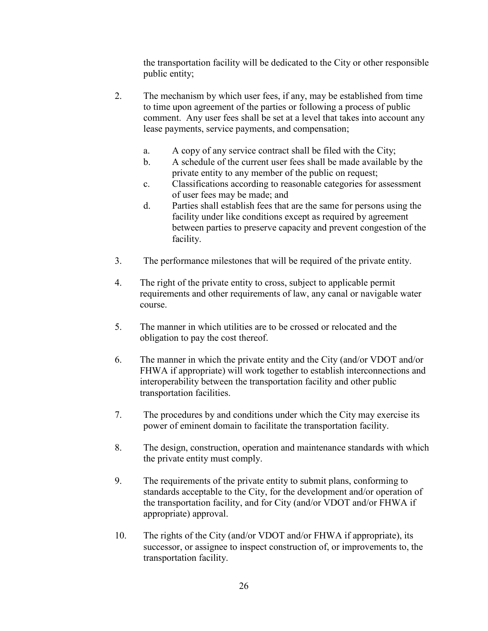the transportation facility will be dedicated to the City or other responsible public entity;

- 2. The mechanism by which user fees, if any, may be established from time to time upon agreement of the parties or following a process of public comment. Any user fees shall be set at a level that takes into account any lease payments, service payments, and compensation;
	- a. A copy of any service contract shall be filed with the City;
	- b. A schedule of the current user fees shall be made available by the private entity to any member of the public on request;
	- c. Classifications according to reasonable categories for assessment of user fees may be made; and
	- d. Parties shall establish fees that are the same for persons using the facility under like conditions except as required by agreement between parties to preserve capacity and prevent congestion of the facility.
- 3. The performance milestones that will be required of the private entity.
- 4. The right of the private entity to cross, subject to applicable permit requirements and other requirements of law, any canal or navigable water course.
- 5. The manner in which utilities are to be crossed or relocated and the obligation to pay the cost thereof.
- 6. The manner in which the private entity and the City (and/or VDOT and/or FHWA if appropriate) will work together to establish interconnections and interoperability between the transportation facility and other public transportation facilities.
- 7. The procedures by and conditions under which the City may exercise its power of eminent domain to facilitate the transportation facility.
- 8. The design, construction, operation and maintenance standards with which the private entity must comply.
- 9. The requirements of the private entity to submit plans, conforming to standards acceptable to the City, for the development and/or operation of the transportation facility, and for City (and/or VDOT and/or FHWA if appropriate) approval.
- 10. The rights of the City (and/or VDOT and/or FHWA if appropriate), its successor, or assignee to inspect construction of, or improvements to, the transportation facility.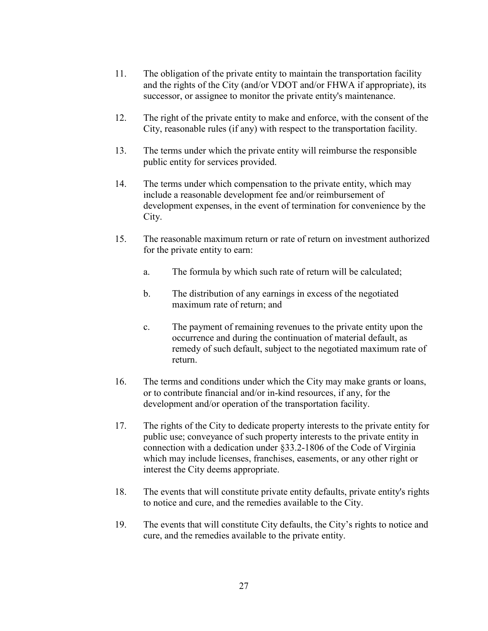- 11. The obligation of the private entity to maintain the transportation facility and the rights of the City (and/or VDOT and/or FHWA if appropriate), its successor, or assignee to monitor the private entity's maintenance.
- 12. The right of the private entity to make and enforce, with the consent of the City, reasonable rules (if any) with respect to the transportation facility.
- 13. The terms under which the private entity will reimburse the responsible public entity for services provided.
- 14. The terms under which compensation to the private entity, which may include a reasonable development fee and/or reimbursement of development expenses, in the event of termination for convenience by the City.
- 15. The reasonable maximum return or rate of return on investment authorized for the private entity to earn:
	- a. The formula by which such rate of return will be calculated;
	- b. The distribution of any earnings in excess of the negotiated maximum rate of return; and
	- c. The payment of remaining revenues to the private entity upon the occurrence and during the continuation of material default, as remedy of such default, subject to the negotiated maximum rate of return.
- 16. The terms and conditions under which the City may make grants or loans, or to contribute financial and/or in-kind resources, if any, for the development and/or operation of the transportation facility.
- 17. The rights of the City to dedicate property interests to the private entity for public use; conveyance of such property interests to the private entity in connection with a dedication under §33.2-1806 of the Code of Virginia which may include licenses, franchises, easements, or any other right or interest the City deems appropriate.
- 18. The events that will constitute private entity defaults, private entity's rights to notice and cure, and the remedies available to the City.
- 19. The events that will constitute City defaults, the City's rights to notice and cure, and the remedies available to the private entity.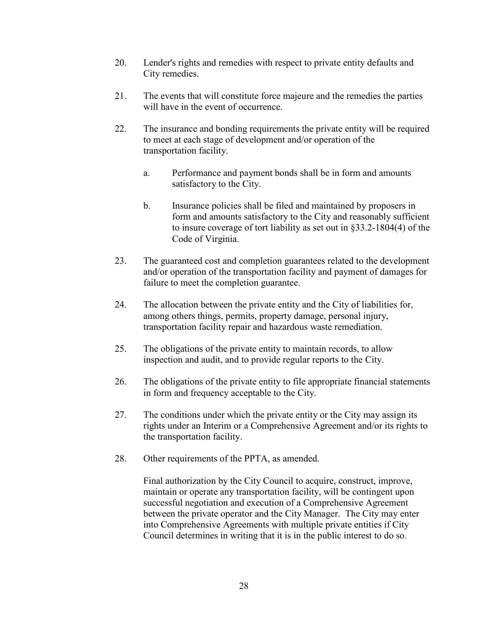- 20. Lender's rights and remedies with respect to private entity defaults and City remedies.
- 21. The events that will constitute force majeure and the remedies the parties will have in the event of occurrence.
- 22. The insurance and bonding requirements the private entity will be required to meet at each stage of development and/or operation of the transportation facility.
	- a. Performance and payment bonds shall be in form and amounts satisfactory to the City.
	- b. Insurance policies shall be filed and maintained by proposers in form and amounts satisfactory to the City and reasonably sufficient to insure coverage of tort liability as set out in §33.2-1804(4) of the Code of Virginia.
- 23. The guaranteed cost and completion guarantees related to the development and/or operation of the transportation facility and payment of damages for failure to meet the completion guarantee.
- 24. The allocation between the private entity and the City of liabilities for, among others things, permits, property damage, personal injury, transportation facility repair and hazardous waste remediation.
- 25. The obligations of the private entity to maintain records, to allow inspection and audit, and to provide regular reports to the City.
- 26. The obligations of the private entity to file appropriate financial statements in form and frequency acceptable to the City.
- 27. The conditions under which the private entity or the City may assign its rights under an Interim or a Comprehensive Agreement and/or its rights to the transportation facility.
- 28. Other requirements of the PPTA, as amended.

 Final authorization by the City Council to acquire, construct, improve, maintain or operate any transportation facility, will be contingent upon successful negotiation and execution of a Comprehensive Agreement between the private operator and the City Manager. The City may enter into Comprehensive Agreements with multiple private entities if City Council determines in writing that it is in the public interest to do so.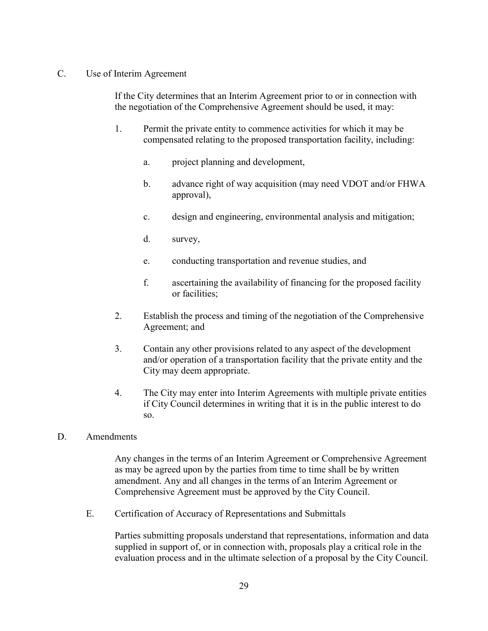### C. Use of Interim Agreement

 If the City determines that an Interim Agreement prior to or in connection with the negotiation of the Comprehensive Agreement should be used, it may:

- 1. Permit the private entity to commence activities for which it may be compensated relating to the proposed transportation facility, including:
	- a. project planning and development,
	- b. advance right of way acquisition (may need VDOT and/or FHWA approval),
	- c. design and engineering, environmental analysis and mitigation;
	- d. survey,
	- e. conducting transportation and revenue studies, and
	- f. ascertaining the availability of financing for the proposed facility or facilities;
- 2. Establish the process and timing of the negotiation of the Comprehensive Agreement; and
- 3. Contain any other provisions related to any aspect of the development and/or operation of a transportation facility that the private entity and the City may deem appropriate.
- 4. The City may enter into Interim Agreements with multiple private entities if City Council determines in writing that it is in the public interest to do so.
- D. Amendments

Any changes in the terms of an Interim Agreement or Comprehensive Agreement as may be agreed upon by the parties from time to time shall be by written amendment. Any and all changes in the terms of an Interim Agreement or Comprehensive Agreement must be approved by the City Council.

E. Certification of Accuracy of Representations and Submittals

 Parties submitting proposals understand that representations, information and data supplied in support of, or in connection with, proposals play a critical role in the evaluation process and in the ultimate selection of a proposal by the City Council.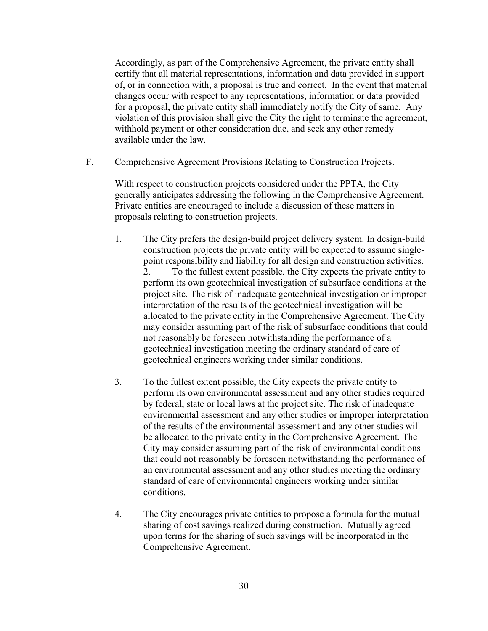Accordingly, as part of the Comprehensive Agreement, the private entity shall certify that all material representations, information and data provided in support of, or in connection with, a proposal is true and correct. In the event that material changes occur with respect to any representations, information or data provided for a proposal, the private entity shall immediately notify the City of same. Any violation of this provision shall give the City the right to terminate the agreement, withhold payment or other consideration due, and seek any other remedy available under the law.

F. Comprehensive Agreement Provisions Relating to Construction Projects.

With respect to construction projects considered under the PPTA, the City generally anticipates addressing the following in the Comprehensive Agreement. Private entities are encouraged to include a discussion of these matters in proposals relating to construction projects.

- 1. The City prefers the design-build project delivery system. In design-build construction projects the private entity will be expected to assume singlepoint responsibility and liability for all design and construction activities. 2. To the fullest extent possible, the City expects the private entity to perform its own geotechnical investigation of subsurface conditions at the project site. The risk of inadequate geotechnical investigation or improper interpretation of the results of the geotechnical investigation will be allocated to the private entity in the Comprehensive Agreement. The City may consider assuming part of the risk of subsurface conditions that could not reasonably be foreseen notwithstanding the performance of a geotechnical investigation meeting the ordinary standard of care of geotechnical engineers working under similar conditions.
- 3. To the fullest extent possible, the City expects the private entity to perform its own environmental assessment and any other studies required by federal, state or local laws at the project site. The risk of inadequate environmental assessment and any other studies or improper interpretation of the results of the environmental assessment and any other studies will be allocated to the private entity in the Comprehensive Agreement. The City may consider assuming part of the risk of environmental conditions that could not reasonably be foreseen notwithstanding the performance of an environmental assessment and any other studies meeting the ordinary standard of care of environmental engineers working under similar conditions.
- 4. The City encourages private entities to propose a formula for the mutual sharing of cost savings realized during construction. Mutually agreed upon terms for the sharing of such savings will be incorporated in the Comprehensive Agreement.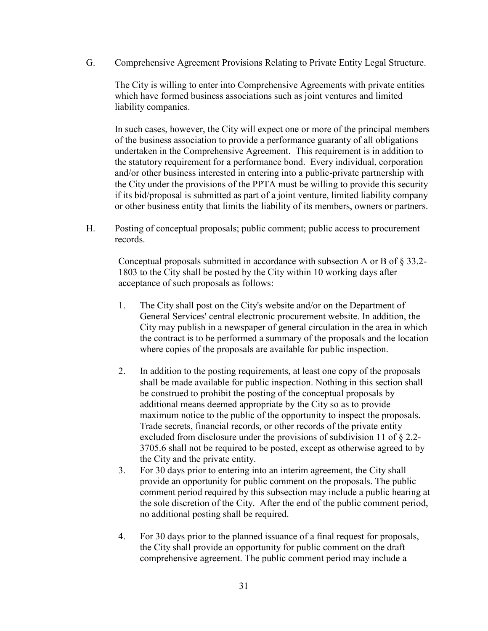G. Comprehensive Agreement Provisions Relating to Private Entity Legal Structure.

The City is willing to enter into Comprehensive Agreements with private entities which have formed business associations such as joint ventures and limited liability companies.

In such cases, however, the City will expect one or more of the principal members of the business association to provide a performance guaranty of all obligations undertaken in the Comprehensive Agreement. This requirement is in addition to the statutory requirement for a performance bond. Every individual, corporation and/or other business interested in entering into a public-private partnership with the City under the provisions of the PPTA must be willing to provide this security if its bid/proposal is submitted as part of a joint venture, limited liability company or other business entity that limits the liability of its members, owners or partners.

H. Posting of conceptual proposals; public comment; public access to procurement records.

Conceptual proposals submitted in accordance with subsection A or B of § 33.2- 1803 to the City shall be posted by the City within 10 working days after acceptance of such proposals as follows:

- 1. The City shall post on the City's website and/or on the Department of General Services' central electronic procurement website. In addition, the City may publish in a newspaper of general circulation in the area in which the contract is to be performed a summary of the proposals and the location where copies of the proposals are available for public inspection.
- 2. In addition to the posting requirements, at least one copy of the proposals shall be made available for public inspection. Nothing in this section shall be construed to prohibit the posting of the conceptual proposals by additional means deemed appropriate by the City so as to provide maximum notice to the public of the opportunity to inspect the proposals. Trade secrets, financial records, or other records of the private entity excluded from disclosure under the provisions of subdivision 11 of § 2.2- 3705.6 shall not be required to be posted, except as otherwise agreed to by the City and the private entity.
- 3. For 30 days prior to entering into an interim agreement, the City shall provide an opportunity for public comment on the proposals. The public comment period required by this subsection may include a public hearing at the sole discretion of the City. After the end of the public comment period, no additional posting shall be required.
- 4. For 30 days prior to the planned issuance of a final request for proposals, the City shall provide an opportunity for public comment on the draft comprehensive agreement. The public comment period may include a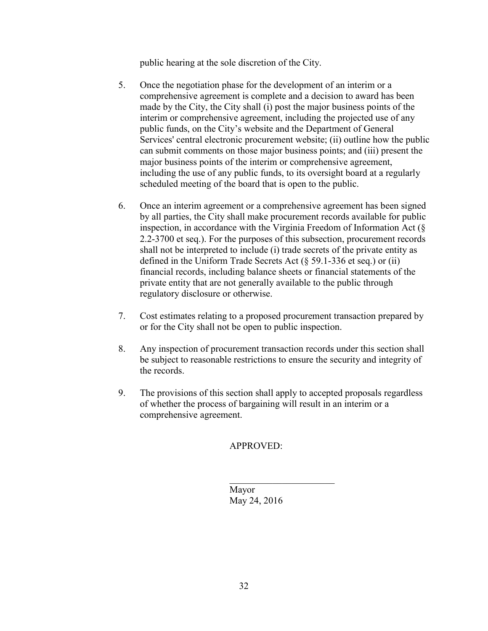public hearing at the sole discretion of the City.

- 5. Once the negotiation phase for the development of an interim or a comprehensive agreement is complete and a decision to award has been made by the City, the City shall (i) post the major business points of the interim or comprehensive agreement, including the projected use of any public funds, on the City's website and the Department of General Services' central electronic procurement website; (ii) outline how the public can submit comments on those major business points; and (iii) present the major business points of the interim or comprehensive agreement, including the use of any public funds, to its oversight board at a regularly scheduled meeting of the board that is open to the public.
- 6. Once an interim agreement or a comprehensive agreement has been signed by all parties, the City shall make procurement records available for public inspection, in accordance with the Virginia Freedom of Information Act (§ 2.2-3700 et seq.). For the purposes of this subsection, procurement records shall not be interpreted to include (i) trade secrets of the private entity as defined in the Uniform Trade Secrets Act (§ 59.1-336 et seq.) or (ii) financial records, including balance sheets or financial statements of the private entity that are not generally available to the public through regulatory disclosure or otherwise.
- 7. Cost estimates relating to a proposed procurement transaction prepared by or for the City shall not be open to public inspection.
- 8. Any inspection of procurement transaction records under this section shall be subject to reasonable restrictions to ensure the security and integrity of the records.
- 9. The provisions of this section shall apply to accepted proposals regardless of whether the process of bargaining will result in an interim or a comprehensive agreement.

 $\overline{\phantom{a}}$  , which is a set of the set of the set of the set of the set of the set of the set of the set of the set of the set of the set of the set of the set of the set of the set of the set of the set of the set of th

# APPROVED:

 Mayor May 24, 2016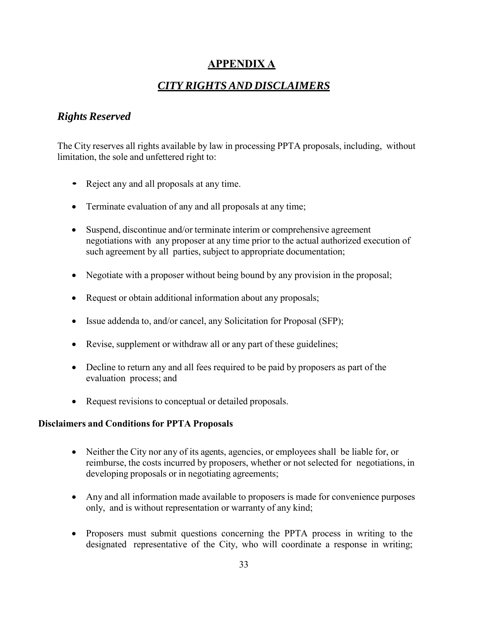# **APPENDIX A**

# *CITY RIGHTS AND DISCLAIMERS*

# *Rights Reserved*

The City reserves all rights available by law in processing PPTA proposals, including, without limitation, the sole and unfettered right to:

- Reject any and all proposals at any time.
- Terminate evaluation of any and all proposals at any time;
- Suspend, discontinue and/or terminate interim or comprehensive agreement negotiations with any proposer at any time prior to the actual authorized execution of such agreement by all parties, subject to appropriate documentation;
- Negotiate with a proposer without being bound by any provision in the proposal;
- Request or obtain additional information about any proposals;
- Issue addenda to, and/or cancel, any Solicitation for Proposal (SFP);
- Revise, supplement or withdraw all or any part of these guidelines;
- Decline to return any and all fees required to be paid by proposers as part of the evaluation process; and
- Request revisions to conceptual or detailed proposals.

# **Disclaimers and Conditions for PPTA Proposals**

- Neither the City nor any of its agents, agencies, or employees shall be liable for, or reimburse, the costs incurred by proposers, whether or not selected for negotiations, in developing proposals or in negotiating agreements;
- Any and all information made available to proposers is made for convenience purposes only, and is without representation or warranty of any kind;
- Proposers must submit questions concerning the PPTA process in writing to the designated representative of the City, who will coordinate a response in writing;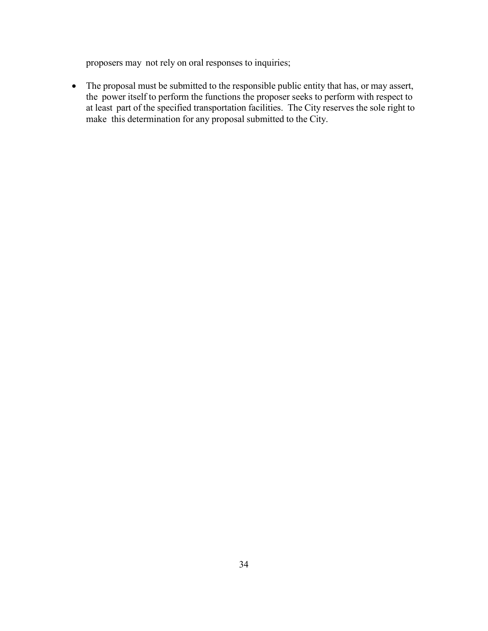proposers may not rely on oral responses to inquiries;

• The proposal must be submitted to the responsible public entity that has, or may assert, the power itself to perform the functions the proposer seeks to perform with respect to at least part of the specified transportation facilities. The City reserves the sole right to make this determination for any proposal submitted to the City.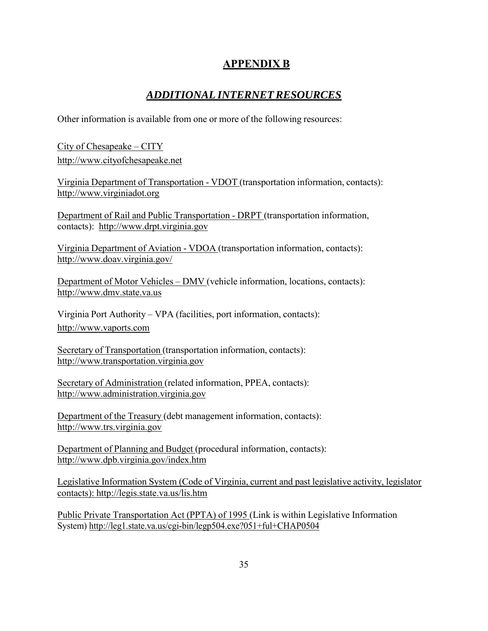# **APPENDIX B**

# *ADDITIONAL INTERNET RESOURCES*

Other information is available from one or more of the following resources:

City of Chesapeake – CITY http://www.cityofchesapeake.net

Virginia Department of Transportation - VDOT (transportation information, contacts): http://www.virginiadot.org

Department of Rail and Public Transportation - DRPT (transportation information, contacts): http://www.drpt.virginia.gov

Virginia Department of Aviation - VDOA (transportation information, contacts): http://www.doav.virginia.gov/

Department of Motor Vehicles – DMV (vehicle information, locations, contacts): http://www.dmv.state.va.us

Virginia Port Authority – VPA (facilities, port information, contacts): http://www.vaports.com

Secretary of Transportation (transportation information, contacts): http://www.transportation.virginia.gov

Secretary of Administration (related information, PPEA, contacts): http://www.administration.virginia.gov

Department of the Treasury (debt management information, contacts): http://www.trs.virginia.gov

Department of Planning and Budget (procedural information, contacts): http://www.dpb.virginia.gov/index.htm

Legislative Information System (Code of Virginia, current and past legislative activity, legislator contacts): http://legis.state.va.us/lis.htm

Public Private Transportation Act (PPTA) of 1995 (Link is within Legislative Information System) http://leg1.state.va.us/cgi-bin/legp504.exe?051+ful+CHAP0504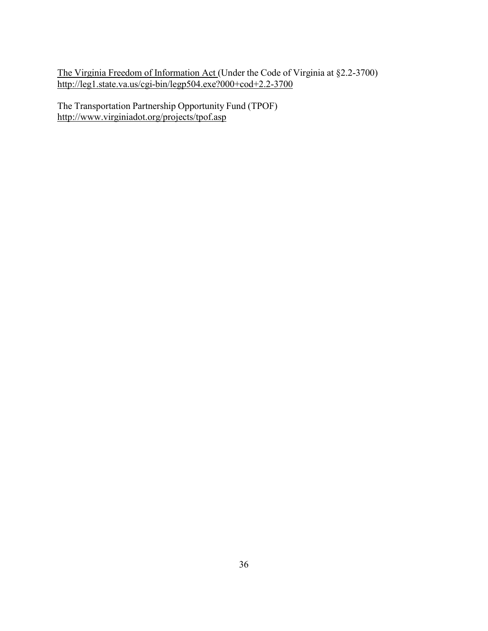The Virginia Freedom of Information Act (Under the Code of Virginia at §2.2-3700) http://leg1.state.va.us/cgi-bin/legp504.exe?000+cod+2.2-3700

The Transportation Partnership Opportunity Fund (TPOF) http://www.virginiadot.org/projects/tpof.asp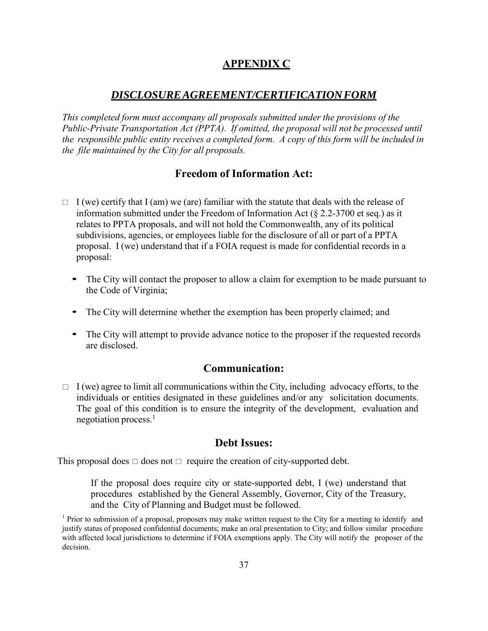# **APPENDIX C**

# *DISCLOSURE AGREEMENT/CERTIFICATION FORM*

*This completed form must accompany all proposals submitted under the provisions of the Public-Private Transportation Act (PPTA). If omitted, the proposal will not be processed until the responsible public entity receives a completed form. A copy of this form will be included in the file maintained by the City for all proposals.*

# **Freedom of Information Act:**

- $\Box$  I (we) certify that I (am) we (are) familiar with the statute that deals with the release of information submitted under the Freedom of Information Act ( $\S$  2.2-3700 et seq.) as it relates to PPTA proposals, and will not hold the Commonwealth, any of its political subdivisions, agencies, or employees liable for the disclosure of all or part of a PPTA proposal. I (we) understand that if a FOIA request is made for confidential records in a proposal:
	- The City will contact the proposer to allow a claim for exemption to be made pursuant to the Code of Virginia;
	- The City will determine whether the exemption has been properly claimed; and
	- The City will attempt to provide advance notice to the proposer if the requested records are disclosed.

# **Communication:**

 $\Box$  I (we) agree to limit all communications within the City, including advocacy efforts, to the individuals or entities designated in these guidelines and/or any solicitation documents. The goal of this condition is to ensure the integrity of the development, evaluation and negotiation process. $<sup>1</sup>$ </sup>

# **Debt Issues:**

This proposal does  $\Box$  does not  $\Box$  require the creation of city-supported debt.

If the proposal does require city or state-supported debt, I (we) understand that procedures established by the General Assembly, Governor, City of the Treasury, and the City of Planning and Budget must be followed.

<sup>&</sup>lt;sup>1</sup> Prior to submission of a proposal, proposers may make written request to the City for a meeting to identify and justify status of proposed confidential documents; make an oral presentation to City; and follow similar procedure with affected local jurisdictions to determine if FOIA exemptions apply. The City will notify the proposer of the decision.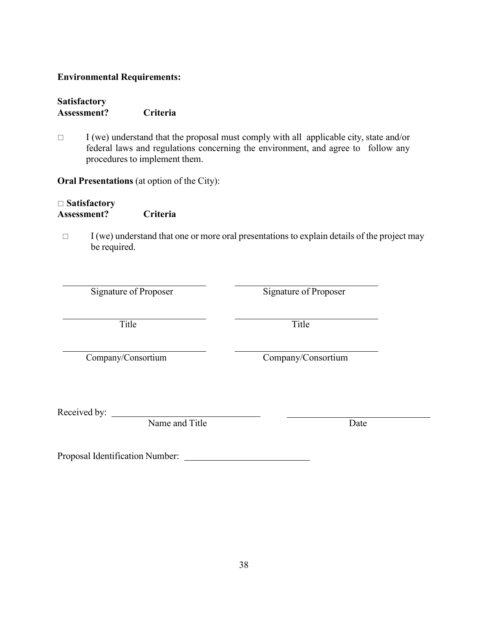### **Environmental Requirements:**

| <b>Satisfactory</b> |          |
|---------------------|----------|
| Assessment?         | Criteria |

 $\Box$  I (we) understand that the proposal must comply with all applicable city, state and/or federal laws and regulations concerning the environment, and agree to follow any procedures to implement them.

**Oral Presentations** (at option of the City):

# **Satisfactory Assessment? Criteria**

 $\Box$  I (we) understand that one or more oral presentations to explain details of the project may be required.

| Signature of Proposer |
|-----------------------|
|-----------------------|

Signature of Proposer

Title Title

Company/Consortium Company/Consortium

Received by:

Name and Title Date

Proposal Identification Number: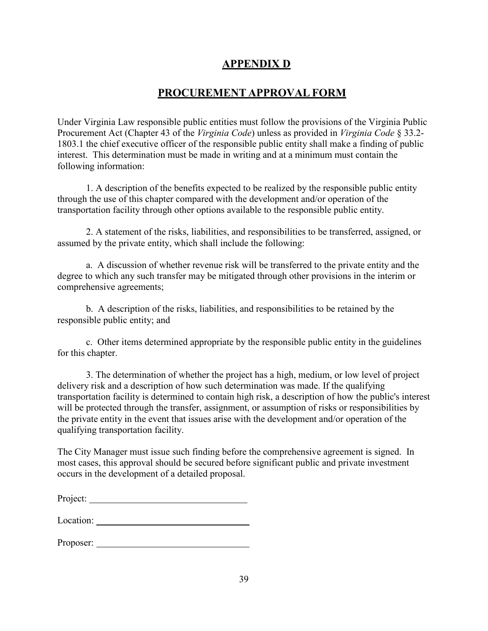# **APPENDIX D**

# **PROCUREMENT APPROVAL FORM**

Under Virginia Law responsible public entities must follow the provisions of the Virginia Public Procurement Act (Chapter 43 of the *Virginia Code*) unless as provided in *Virginia Code* § 33.2- 1803.1 the chief executive officer of the responsible public entity shall make a finding of public interest. This determination must be made in writing and at a minimum must contain the following information:

1. A description of the benefits expected to be realized by the responsible public entity through the use of this chapter compared with the development and/or operation of the transportation facility through other options available to the responsible public entity.

2. A statement of the risks, liabilities, and responsibilities to be transferred, assigned, or assumed by the private entity, which shall include the following:

a. A discussion of whether revenue risk will be transferred to the private entity and the degree to which any such transfer may be mitigated through other provisions in the interim or comprehensive agreements;

b. A description of the risks, liabilities, and responsibilities to be retained by the responsible public entity; and

c. Other items determined appropriate by the responsible public entity in the guidelines for this chapter.

3. The determination of whether the project has a high, medium, or low level of project delivery risk and a description of how such determination was made. If the qualifying transportation facility is determined to contain high risk, a description of how the public's interest will be protected through the transfer, assignment, or assumption of risks or responsibilities by the private entity in the event that issues arise with the development and/or operation of the qualifying transportation facility.

The City Manager must issue such finding before the comprehensive agreement is signed. In most cases, this approval should be secured before significant public and private investment occurs in the development of a detailed proposal.

| Project: |
|----------|
|          |

| Proposer: |  |
|-----------|--|
|           |  |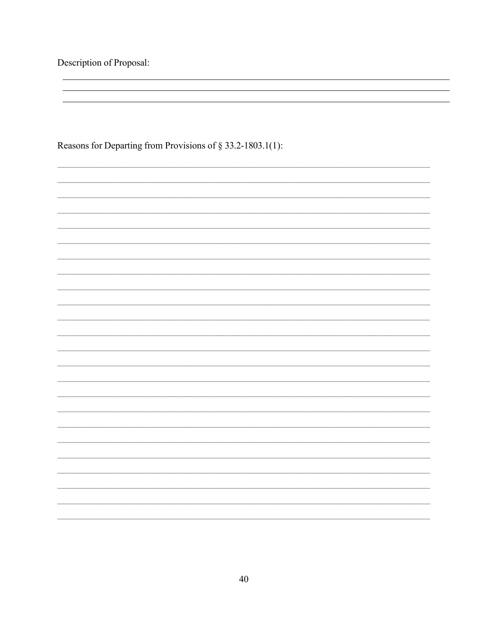Description of Proposal:

Reasons for Departing from Provisions of § 33.2-1803.1(1):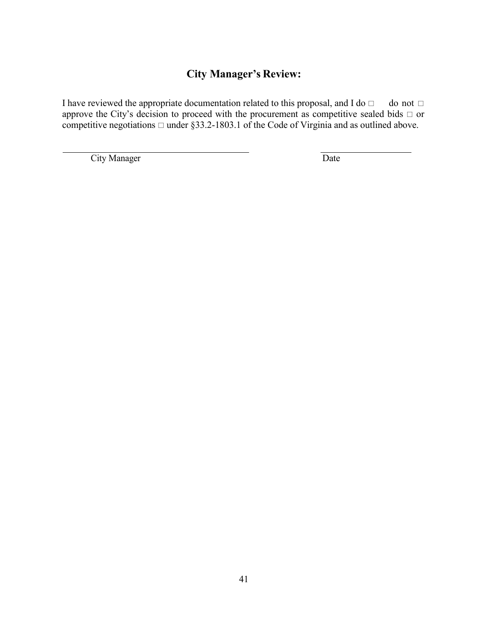# **City Manager's Review:**

I have reviewed the appropriate documentation related to this proposal, and I do  $\Box$  do not  $\Box$ approve the City's decision to proceed with the procurement as competitive sealed bids  $\Box$  or competitive negotiations  $\Box$  under §33.2-1803.1 of the Code of Virginia and as outlined above.

**City Manager** Date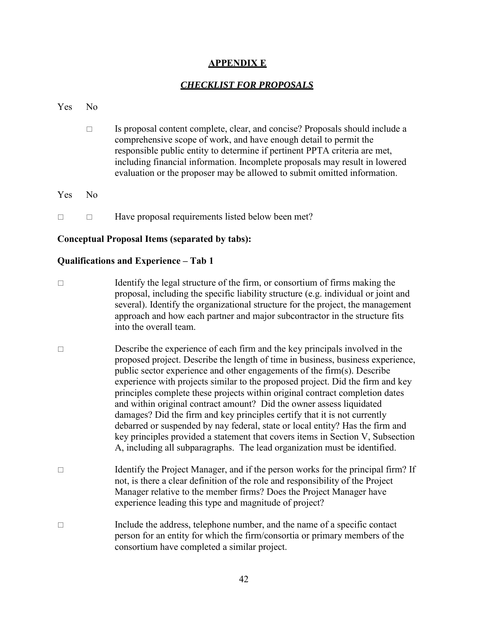### **APPENDIX E**

### *CHECKLIST FOR PROPOSALS*

#### Yes No

- $\Box$  Is proposal content complete, clear, and concise? Proposals should include a comprehensive scope of work, and have enough detail to permit the responsible public entity to determine if pertinent PPTA criteria are met, including financial information. Incomplete proposals may result in lowered evaluation or the proposer may be allowed to submit omitted information.
- Yes No
- $\Box$  Have proposal requirements listed below been met?

#### **Conceptual Proposal Items (separated by tabs):**

#### **Qualifications and Experience – Tab 1**

- $\Box$  Identify the legal structure of the firm, or consortium of firms making the proposal, including the specific liability structure (e.g. individual or joint and several). Identify the organizational structure for the project, the management approach and how each partner and major subcontractor in the structure fits into the overall team.
- $\Box$  Describe the experience of each firm and the key principals involved in the proposed project. Describe the length of time in business, business experience, public sector experience and other engagements of the firm(s). Describe experience with projects similar to the proposed project. Did the firm and key principles complete these projects within original contract completion dates and within original contract amount? Did the owner assess liquidated damages? Did the firm and key principles certify that it is not currently debarred or suspended by nay federal, state or local entity? Has the firm and key principles provided a statement that covers items in Section V, Subsection A, including all subparagraphs. The lead organization must be identified.
- $\Box$  Identify the Project Manager, and if the person works for the principal firm? If not, is there a clear definition of the role and responsibility of the Project Manager relative to the member firms? Does the Project Manager have experience leading this type and magnitude of project?
- $\Box$  Include the address, telephone number, and the name of a specific contact person for an entity for which the firm/consortia or primary members of the consortium have completed a similar project.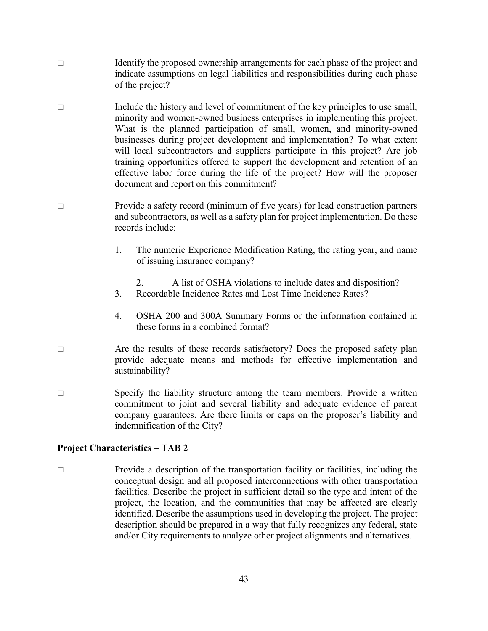- $\Box$  Identify the proposed ownership arrangements for each phase of the project and indicate assumptions on legal liabilities and responsibilities during each phase of the project?
- $\Box$  Include the history and level of commitment of the key principles to use small, minority and women-owned business enterprises in implementing this project. What is the planned participation of small, women, and minority-owned businesses during project development and implementation? To what extent will local subcontractors and suppliers participate in this project? Are job training opportunities offered to support the development and retention of an effective labor force during the life of the project? How will the proposer document and report on this commitment?
- □ Provide a safety record (minimum of five years) for lead construction partners and subcontractors, as well as a safety plan for project implementation. Do these records include:
	- 1. The numeric Experience Modification Rating, the rating year, and name of issuing insurance company?
		- 2. A list of OSHA violations to include dates and disposition?
	- 3. Recordable Incidence Rates and Lost Time Incidence Rates?
	- 4. OSHA 200 and 300A Summary Forms or the information contained in these forms in a combined format?
- $\Box$  Are the results of these records satisfactory? Does the proposed safety plan provide adequate means and methods for effective implementation and sustainability?
- $\square$  Specify the liability structure among the team members. Provide a written commitment to joint and several liability and adequate evidence of parent company guarantees. Are there limits or caps on the proposer's liability and indemnification of the City?

### **Project Characteristics – TAB 2**

 $\Box$  Provide a description of the transportation facility or facilities, including the conceptual design and all proposed interconnections with other transportation facilities. Describe the project in sufficient detail so the type and intent of the project, the location, and the communities that may be affected are clearly identified. Describe the assumptions used in developing the project. The project description should be prepared in a way that fully recognizes any federal, state and/or City requirements to analyze other project alignments and alternatives.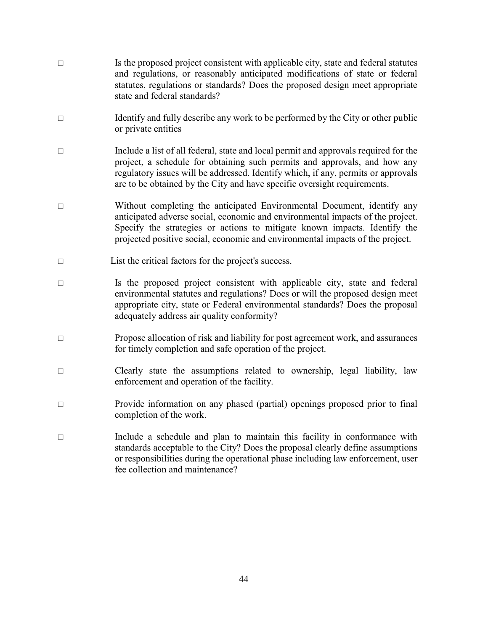$\Box$  Is the proposed project consistent with applicable city, state and federal statutes and regulations, or reasonably anticipated modifications of state or federal statutes, regulations or standards? Does the proposed design meet appropriate state and federal standards?  $\Box$  Identify and fully describe any work to be performed by the City or other public or private entities Include a list of all federal, state and local permit and approvals required for the project, a schedule for obtaining such permits and approvals, and how any regulatory issues will be addressed. Identify which, if any, permits or approvals are to be obtained by the City and have specific oversight requirements. □ Without completing the anticipated Environmental Document, identify any anticipated adverse social, economic and environmental impacts of the project. Specify the strategies or actions to mitigate known impacts. Identify the projected positive social, economic and environmental impacts of the project.  $\Box$  List the critical factors for the project's success.  $\Box$  Is the proposed project consistent with applicable city, state and federal environmental statutes and regulations? Does or will the proposed design meet appropriate city, state or Federal environmental standards? Does the proposal adequately address air quality conformity?  $\Box$  Propose allocation of risk and liability for post agreement work, and assurances for timely completion and safe operation of the project. □ Clearly state the assumptions related to ownership, legal liability, law enforcement and operation of the facility. Provide information on any phased (partial) openings proposed prior to final completion of the work.  $\Box$  Include a schedule and plan to maintain this facility in conformance with standards acceptable to the City? Does the proposal clearly define assumptions or responsibilities during the operational phase including law enforcement, user fee collection and maintenance?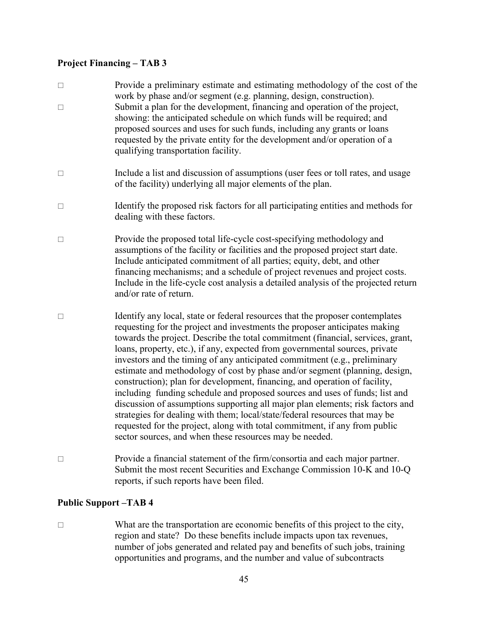# **Project Financing – TAB 3**

| $\Box$<br>$\Box$ | Provide a preliminary estimate and estimating methodology of the cost of the<br>work by phase and/or segment (e.g. planning, design, construction).<br>Submit a plan for the development, financing and operation of the project,<br>showing: the anticipated schedule on which funds will be required; and<br>proposed sources and uses for such funds, including any grants or loans<br>requested by the private entity for the development and/or operation of a<br>qualifying transportation facility.                                                                                                                                                                                                                                                                                                                                                                                                                                                       |
|------------------|------------------------------------------------------------------------------------------------------------------------------------------------------------------------------------------------------------------------------------------------------------------------------------------------------------------------------------------------------------------------------------------------------------------------------------------------------------------------------------------------------------------------------------------------------------------------------------------------------------------------------------------------------------------------------------------------------------------------------------------------------------------------------------------------------------------------------------------------------------------------------------------------------------------------------------------------------------------|
| $\Box$           | Include a list and discussion of assumptions (user fees or toll rates, and usage<br>of the facility) underlying all major elements of the plan.                                                                                                                                                                                                                                                                                                                                                                                                                                                                                                                                                                                                                                                                                                                                                                                                                  |
| $\Box$           | Identify the proposed risk factors for all participating entities and methods for<br>dealing with these factors.                                                                                                                                                                                                                                                                                                                                                                                                                                                                                                                                                                                                                                                                                                                                                                                                                                                 |
| $\Box$           | Provide the proposed total life-cycle cost-specifying methodology and<br>assumptions of the facility or facilities and the proposed project start date.<br>Include anticipated commitment of all parties; equity, debt, and other<br>financing mechanisms; and a schedule of project revenues and project costs.<br>Include in the life-cycle cost analysis a detailed analysis of the projected return<br>and/or rate of return.                                                                                                                                                                                                                                                                                                                                                                                                                                                                                                                                |
| $\Box$           | Identify any local, state or federal resources that the proposer contemplates<br>requesting for the project and investments the proposer anticipates making<br>towards the project. Describe the total commitment (financial, services, grant,<br>loans, property, etc.), if any, expected from governmental sources, private<br>investors and the timing of any anticipated commitment (e.g., preliminary<br>estimate and methodology of cost by phase and/or segment (planning, design,<br>construction); plan for development, financing, and operation of facility,<br>including funding schedule and proposed sources and uses of funds; list and<br>discussion of assumptions supporting all major plan elements; risk factors and<br>strategies for dealing with them; local/state/federal resources that may be<br>requested for the project, along with total commitment, if any from public<br>sector sources, and when these resources may be needed. |
| $\Box$           | Provide a financial statement of the firm/consortia and each major partner.<br>Submit the most recent Securities and Exchange Commission 10-K and 10-Q<br>reports, if such reports have been filed.                                                                                                                                                                                                                                                                                                                                                                                                                                                                                                                                                                                                                                                                                                                                                              |

# **Public Support –TAB 4**

 What are the transportation are economic benefits of this project to the city, region and state? Do these benefits include impacts upon tax revenues, number of jobs generated and related pay and benefits of such jobs, training opportunities and programs, and the number and value of subcontracts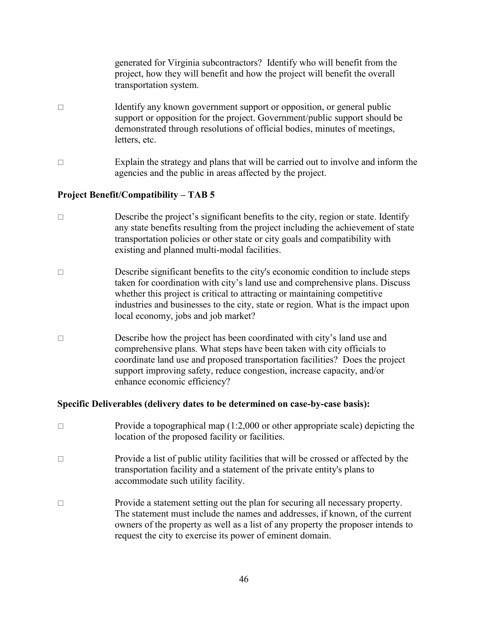generated for Virginia subcontractors? Identify who will benefit from the project, how they will benefit and how the project will benefit the overall transportation system.

- $\Box$  Identify any known government support or opposition, or general public support or opposition for the project. Government/public support should be demonstrated through resolutions of official bodies, minutes of meetings, letters, etc.
- $\Box$  Explain the strategy and plans that will be carried out to involve and inform the agencies and the public in areas affected by the project.

#### **Project Benefit/Compatibility – TAB 5**

- $\square$  Describe the project's significant benefits to the city, region or state. Identify any state benefits resulting from the project including the achievement of state transportation policies or other state or city goals and compatibility with existing and planned multi-modal facilities.
- $\square$  Describe significant benefits to the city's economic condition to include steps taken for coordination with city's land use and comprehensive plans. Discuss whether this project is critical to attracting or maintaining competitive industries and businesses to the city, state or region. What is the impact upon local economy, jobs and job market?
- $\square$  Describe how the project has been coordinated with city's land use and comprehensive plans. What steps have been taken with city officials to coordinate land use and proposed transportation facilities? Does the project support improving safety, reduce congestion, increase capacity, and/or enhance economic efficiency?

#### **Specific Deliverables (delivery dates to be determined on case-by-case basis):**

- Provide a topographical map  $(1:2,000)$  or other appropriate scale) depicting the location of the proposed facility or facilities.
- $\Box$  Provide a list of public utility facilities that will be crossed or affected by the transportation facility and a statement of the private entity's plans to accommodate such utility facility.
- □ Provide a statement setting out the plan for securing all necessary property. The statement must include the names and addresses, if known, of the current owners of the property as well as a list of any property the proposer intends to request the city to exercise its power of eminent domain.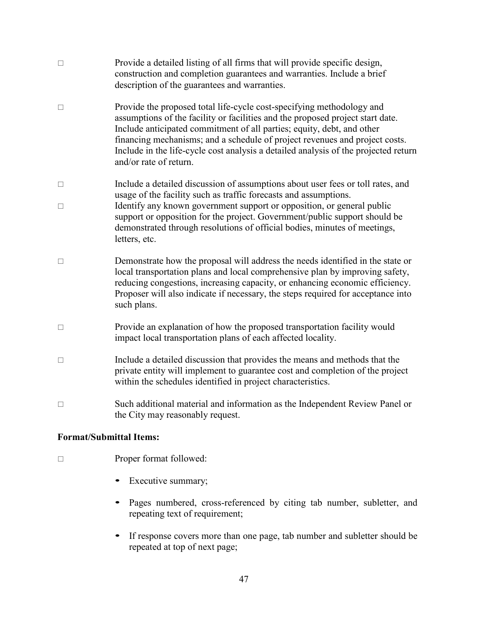| $\Box$ | Provide a detailed listing of all firms that will provide specific design,<br>construction and completion guarantees and warranties. Include a brief<br>description of the guarantees and warranties.                                                                                                                                                                                                                             |
|--------|-----------------------------------------------------------------------------------------------------------------------------------------------------------------------------------------------------------------------------------------------------------------------------------------------------------------------------------------------------------------------------------------------------------------------------------|
| $\Box$ | Provide the proposed total life-cycle cost-specifying methodology and<br>assumptions of the facility or facilities and the proposed project start date.<br>Include anticipated commitment of all parties; equity, debt, and other<br>financing mechanisms; and a schedule of project revenues and project costs.<br>Include in the life-cycle cost analysis a detailed analysis of the projected return<br>and/or rate of return. |
| $\Box$ | Include a detailed discussion of assumptions about user fees or toll rates, and<br>usage of the facility such as traffic forecasts and assumptions.                                                                                                                                                                                                                                                                               |
| П      | Identify any known government support or opposition, or general public<br>support or opposition for the project. Government/public support should be<br>demonstrated through resolutions of official bodies, minutes of meetings,<br>letters, etc.                                                                                                                                                                                |
| $\Box$ | Demonstrate how the proposal will address the needs identified in the state or<br>local transportation plans and local comprehensive plan by improving safety,<br>reducing congestions, increasing capacity, or enhancing economic efficiency.<br>Proposer will also indicate if necessary, the steps required for acceptance into<br>such plans.                                                                                 |
| $\Box$ | Provide an explanation of how the proposed transportation facility would<br>impact local transportation plans of each affected locality.                                                                                                                                                                                                                                                                                          |
| $\Box$ | Include a detailed discussion that provides the means and methods that the<br>private entity will implement to guarantee cost and completion of the project<br>within the schedules identified in project characteristics.                                                                                                                                                                                                        |
| $\Box$ | Such additional material and information as the Independent Review Panel or<br>the City may reasonably request.                                                                                                                                                                                                                                                                                                                   |

### **Format/Submittal Items:**

- □ Proper format followed:
	- Executive summary;
	- Pages numbered, cross-referenced by citing tab number, subletter, and repeating text of requirement;
	- If response covers more than one page, tab number and subletter should be repeated at top of next page;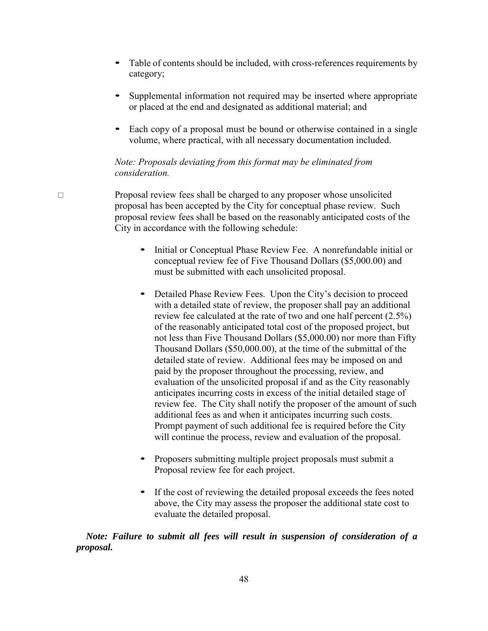- Table of contents should be included, with cross-references requirements by category;
- Supplemental information not required may be inserted where appropriate or placed at the end and designated as additional material; and
- Each copy of a proposal must be bound or otherwise contained in a single volume, where practical, with all necessary documentation included.

### *Note: Proposals deviating from this format may be eliminated from consideration.*

 $\Box$  Proposal review fees shall be charged to any proposer whose unsolicited proposal has been accepted by the City for conceptual phase review. Such proposal review fees shall be based on the reasonably anticipated costs of the City in accordance with the following schedule:

- Initial or Conceptual Phase Review Fee. A nonrefundable initial or conceptual review fee of Five Thousand Dollars (\$5,000.00) and must be submitted with each unsolicited proposal.
- Detailed Phase Review Fees. Upon the City's decision to proceed with a detailed state of review, the proposer shall pay an additional review fee calculated at the rate of two and one half percent (2.5%) of the reasonably anticipated total cost of the proposed project, but not less than Five Thousand Dollars (\$5,000.00) nor more than Fifty Thousand Dollars (\$50,000.00), at the time of the submittal of the detailed state of review. Additional fees may be imposed on and paid by the proposer throughout the processing, review, and evaluation of the unsolicited proposal if and as the City reasonably anticipates incurring costs in excess of the initial detailed stage of review fee. The City shall notify the proposer of the amount of such additional fees as and when it anticipates incurring such costs. Prompt payment of such additional fee is required before the City will continue the process, review and evaluation of the proposal.
- Proposers submitting multiple project proposals must submit a Proposal review fee for each project.
- If the cost of reviewing the detailed proposal exceeds the fees noted above, the City may assess the proposer the additional state cost to evaluate the detailed proposal.

*Note: Failure to submit all fees will result in suspension of consideration of a proposal.*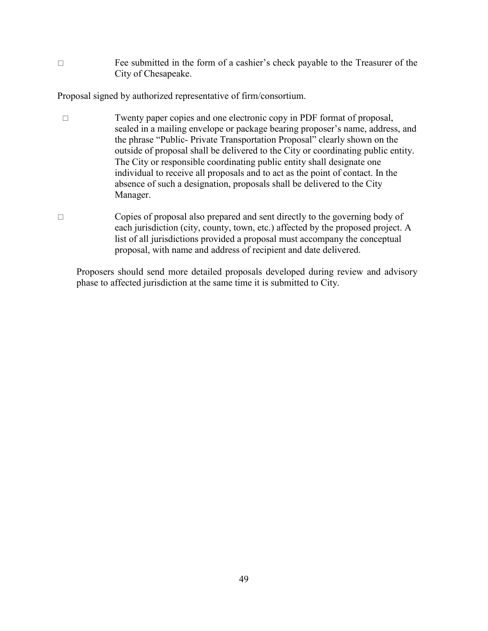Fee submitted in the form of a cashier's check payable to the Treasurer of the City of Chesapeake.

Proposal signed by authorized representative of firm/consortium.

- Twenty paper copies and one electronic copy in PDF format of proposal, sealed in a mailing envelope or package bearing proposer's name, address, and the phrase "Public- Private Transportation Proposal" clearly shown on the outside of proposal shall be delivered to the City or coordinating public entity. The City or responsible coordinating public entity shall designate one individual to receive all proposals and to act as the point of contact. In the absence of such a designation, proposals shall be delivered to the City Manager.
- $\Box$  Copies of proposal also prepared and sent directly to the governing body of each jurisdiction (city, county, town, etc.) affected by the proposed project. A list of all jurisdictions provided a proposal must accompany the conceptual proposal, with name and address of recipient and date delivered.

Proposers should send more detailed proposals developed during review and advisory phase to affected jurisdiction at the same time it is submitted to City.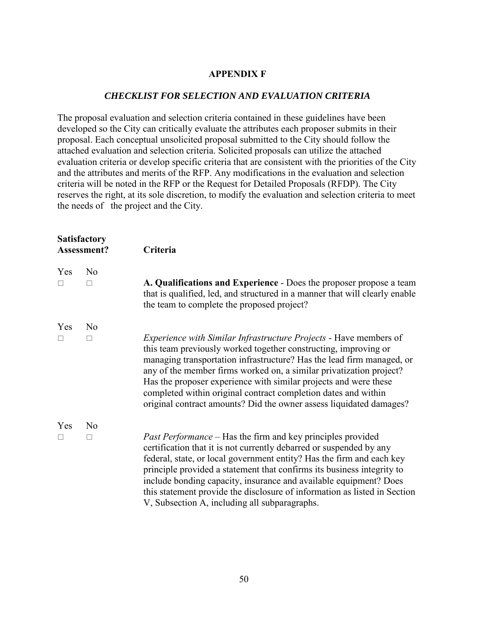### **APPENDIX F**

### *CHECKLIST FOR SELECTION AND EVALUATION CRITERIA*

The proposal evaluation and selection criteria contained in these guidelines have been developed so the City can critically evaluate the attributes each proposer submits in their proposal. Each conceptual unsolicited proposal submitted to the City should follow the attached evaluation and selection criteria. Solicited proposals can utilize the attached evaluation criteria or develop specific criteria that are consistent with the priorities of the City and the attributes and merits of the RFP. Any modifications in the evaluation and selection criteria will be noted in the RFP or the Request for Detailed Proposals (RFDP). The City reserves the right, at its sole discretion, to modify the evaluation and selection criteria to meet the needs of the project and the City.

| <b>Satisfactory</b><br>Assessment? |                     | Criteria                                                                                                                                                                                                                                                                                                                                                                                                                                                                                                 |
|------------------------------------|---------------------|----------------------------------------------------------------------------------------------------------------------------------------------------------------------------------------------------------------------------------------------------------------------------------------------------------------------------------------------------------------------------------------------------------------------------------------------------------------------------------------------------------|
| Yes                                | N <sub>0</sub><br>П | A. Qualifications and Experience - Does the proposer propose a team<br>that is qualified, led, and structured in a manner that will clearly enable<br>the team to complete the proposed project?                                                                                                                                                                                                                                                                                                         |
| Yes                                | N <sub>o</sub><br>П | <i>Experience with Similar Infrastructure Projects - Have members of</i><br>this team previously worked together constructing, improving or<br>managing transportation infrastructure? Has the lead firm managed, or<br>any of the member firms worked on, a similar privatization project?<br>Has the proposer experience with similar projects and were these<br>completed within original contract completion dates and within<br>original contract amounts? Did the owner assess liquidated damages? |
| Yes                                | N <sub>o</sub><br>П | <i>Past Performance</i> – Has the firm and key principles provided<br>certification that it is not currently debarred or suspended by any<br>federal, state, or local government entity? Has the firm and each key<br>principle provided a statement that confirms its business integrity to<br>include bonding capacity, insurance and available equipment? Does<br>this statement provide the disclosure of information as listed in Section<br>V, Subsection A, including all subparagraphs.          |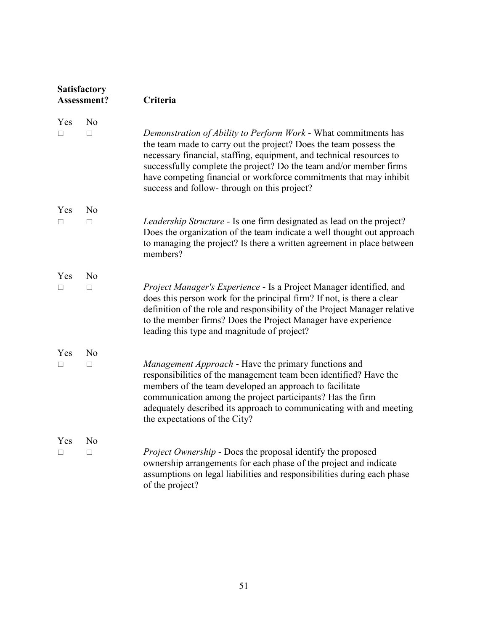| Satisfactory<br>Assessment? |                          | Criteria                                                                                                                                                                                                                                                                                                                                                                                                |  |
|-----------------------------|--------------------------|---------------------------------------------------------------------------------------------------------------------------------------------------------------------------------------------------------------------------------------------------------------------------------------------------------------------------------------------------------------------------------------------------------|--|
| Yes<br>п                    | N <sub>0</sub><br>$\Box$ | Demonstration of Ability to Perform Work - What commitments has<br>the team made to carry out the project? Does the team possess the<br>necessary financial, staffing, equipment, and technical resources to<br>successfully complete the project? Do the team and/or member firms<br>have competing financial or workforce commitments that may inhibit<br>success and follow-through on this project? |  |
| Yes<br>п                    | N <sub>o</sub><br>$\Box$ | Leadership Structure - Is one firm designated as lead on the project?<br>Does the organization of the team indicate a well thought out approach<br>to managing the project? Is there a written agreement in place between<br>members?                                                                                                                                                                   |  |
| Yes<br>П                    | N <sub>0</sub><br>П      | Project Manager's Experience - Is a Project Manager identified, and<br>does this person work for the principal firm? If not, is there a clear<br>definition of the role and responsibility of the Project Manager relative<br>to the member firms? Does the Project Manager have experience<br>leading this type and magnitude of project?                                                              |  |
| Yes<br>п                    | N <sub>o</sub><br>П      | Management Approach - Have the primary functions and<br>responsibilities of the management team been identified? Have the<br>members of the team developed an approach to facilitate<br>communication among the project participants? Has the firm<br>adequately described its approach to communicating with and meeting<br>the expectations of the City?                                              |  |
| Yes<br>$\Box$               | N <sub>0</sub><br>$\Box$ | <i>Project Ownership</i> - Does the proposal identify the proposed<br>ownership arrangements for each phase of the project and indicate<br>assumptions on legal liabilities and responsibilities during each phase<br>of the project?                                                                                                                                                                   |  |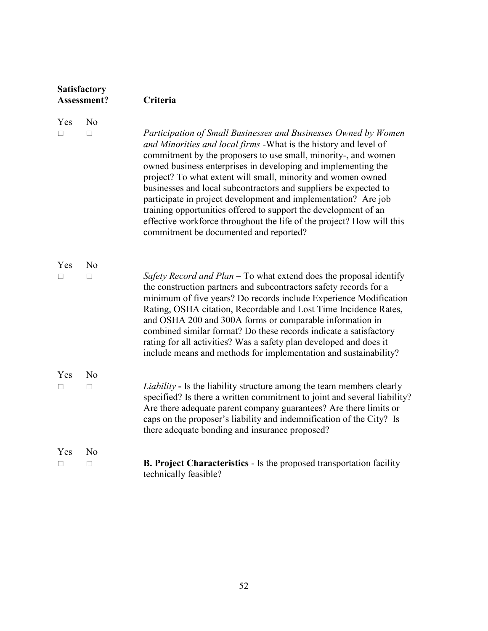| Satisfactory<br>Assessment? |                          | Criteria                                                                                                                                                                                                                                                                                                                                                                                                                                                                                                                                                                                                                                                            |  |
|-----------------------------|--------------------------|---------------------------------------------------------------------------------------------------------------------------------------------------------------------------------------------------------------------------------------------------------------------------------------------------------------------------------------------------------------------------------------------------------------------------------------------------------------------------------------------------------------------------------------------------------------------------------------------------------------------------------------------------------------------|--|
| Yes<br>П                    | N <sub>o</sub><br>П      | Participation of Small Businesses and Businesses Owned by Women<br>and Minorities and local firms - What is the history and level of<br>commitment by the proposers to use small, minority-, and women<br>owned business enterprises in developing and implementing the<br>project? To what extent will small, minority and women owned<br>businesses and local subcontractors and suppliers be expected to<br>participate in project development and implementation? Are job<br>training opportunities offered to support the development of an<br>effective workforce throughout the life of the project? How will this<br>commitment be documented and reported? |  |
| Yes<br>$\Box$               | N <sub>0</sub><br>$\Box$ | Safety Record and Plan – To what extend does the proposal identify<br>the construction partners and subcontractors safety records for a<br>minimum of five years? Do records include Experience Modification<br>Rating, OSHA citation, Recordable and Lost Time Incidence Rates,<br>and OSHA 200 and 300A forms or comparable information in<br>combined similar format? Do these records indicate a satisfactory<br>rating for all activities? Was a safety plan developed and does it<br>include means and methods for implementation and sustainability?                                                                                                         |  |
| Yes<br>П                    | N <sub>o</sub><br>$\Box$ | <i>Liability</i> - Is the liability structure among the team members clearly<br>specified? Is there a written commitment to joint and several liability?<br>Are there adequate parent company guarantees? Are there limits or<br>caps on the proposer's liability and indemnification of the City? Is<br>there adequate bonding and insurance proposed?                                                                                                                                                                                                                                                                                                             |  |
| Yes<br>□                    | N <sub>0</sub><br>□      | <b>B. Project Characteristics</b> - Is the proposed transportation facility<br>technically feasible?                                                                                                                                                                                                                                                                                                                                                                                                                                                                                                                                                                |  |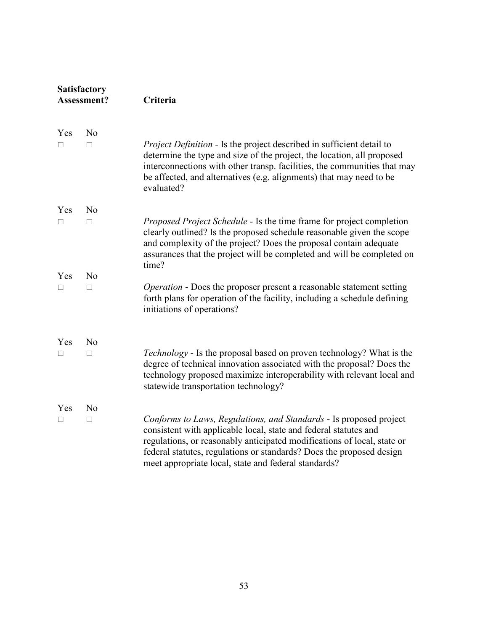| <b>Satisfactory</b><br>Assessment? |                | Criteria                                                                                                                                                                                                                                                                                                                                          |  |
|------------------------------------|----------------|---------------------------------------------------------------------------------------------------------------------------------------------------------------------------------------------------------------------------------------------------------------------------------------------------------------------------------------------------|--|
| Yes                                | N <sub>0</sub> |                                                                                                                                                                                                                                                                                                                                                   |  |
| П                                  | П              | <i>Project Definition</i> - Is the project described in sufficient detail to<br>determine the type and size of the project, the location, all proposed<br>interconnections with other transp. facilities, the communities that may<br>be affected, and alternatives (e.g. alignments) that may need to be<br>evaluated?                           |  |
| Yes                                | N <sub>0</sub> |                                                                                                                                                                                                                                                                                                                                                   |  |
| П                                  | П              | Proposed Project Schedule - Is the time frame for project completion<br>clearly outlined? Is the proposed schedule reasonable given the scope<br>and complexity of the project? Does the proposal contain adequate<br>assurances that the project will be completed and will be completed on<br>time?                                             |  |
| Yes                                | N <sub>o</sub> |                                                                                                                                                                                                                                                                                                                                                   |  |
| □                                  | $\Box$         | <i>Operation</i> - Does the proposer present a reasonable statement setting<br>forth plans for operation of the facility, including a schedule defining<br>initiations of operations?                                                                                                                                                             |  |
| Yes                                | N <sub>0</sub> |                                                                                                                                                                                                                                                                                                                                                   |  |
| П                                  | $\Box$         | Technology - Is the proposal based on proven technology? What is the<br>degree of technical innovation associated with the proposal? Does the<br>technology proposed maximize interoperability with relevant local and<br>statewide transportation technology?                                                                                    |  |
| Yes                                | N <sub>o</sub> |                                                                                                                                                                                                                                                                                                                                                   |  |
| $\Box$                             | $\Box$         | Conforms to Laws, Regulations, and Standards - Is proposed project<br>consistent with applicable local, state and federal statutes and<br>regulations, or reasonably anticipated modifications of local, state or<br>federal statutes, regulations or standards? Does the proposed design<br>meet appropriate local, state and federal standards? |  |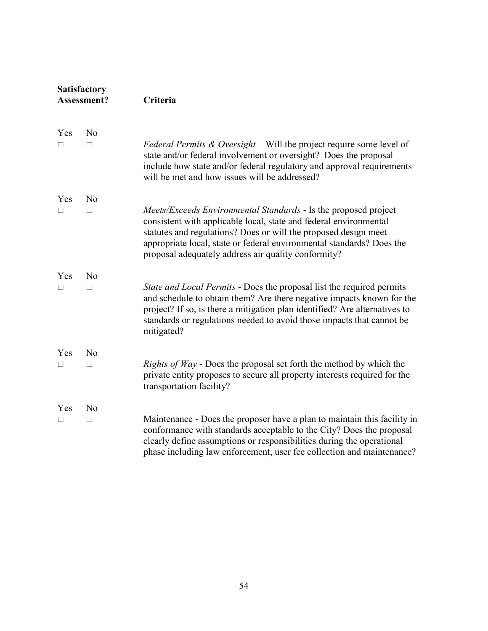| <b>Satisfactory</b><br>Assessment? |                | Criteria                                                                                                                                                                                                                                                                                                                                       |  |
|------------------------------------|----------------|------------------------------------------------------------------------------------------------------------------------------------------------------------------------------------------------------------------------------------------------------------------------------------------------------------------------------------------------|--|
| Yes                                | N <sub>o</sub> |                                                                                                                                                                                                                                                                                                                                                |  |
| $\Box$                             | $\Box$         | <i>Federal Permits &amp; Oversight</i> – Will the project require some level of<br>state and/or federal involvement or oversight? Does the proposal<br>include how state and/or federal regulatory and approval requirements<br>will be met and how issues will be addressed?                                                                  |  |
| Yes                                | N <sub>o</sub> |                                                                                                                                                                                                                                                                                                                                                |  |
| □                                  | $\Box$         | <i>Meets/Exceeds Environmental Standards</i> - Is the proposed project<br>consistent with applicable local, state and federal environmental<br>statutes and regulations? Does or will the proposed design meet<br>appropriate local, state or federal environmental standards? Does the<br>proposal adequately address air quality conformity? |  |
| Yes                                | N <sub>o</sub> |                                                                                                                                                                                                                                                                                                                                                |  |
| П                                  | П              | State and Local Permits - Does the proposal list the required permits<br>and schedule to obtain them? Are there negative impacts known for the<br>project? If so, is there a mitigation plan identified? Are alternatives to<br>standards or regulations needed to avoid those impacts that cannot be<br>mitigated?                            |  |
| Yes                                | N <sub>o</sub> |                                                                                                                                                                                                                                                                                                                                                |  |
| □                                  | $\Box$         | <i>Rights of Way</i> - Does the proposal set forth the method by which the<br>private entity proposes to secure all property interests required for the<br>transportation facility?                                                                                                                                                            |  |
| Yes                                | N <sub>o</sub> |                                                                                                                                                                                                                                                                                                                                                |  |
| П                                  | П              | Maintenance - Does the proposer have a plan to maintain this facility in<br>conformance with standards acceptable to the City? Does the proposal<br>clearly define assumptions or responsibilities during the operational<br>phase including law enforcement, user fee collection and maintenance?                                             |  |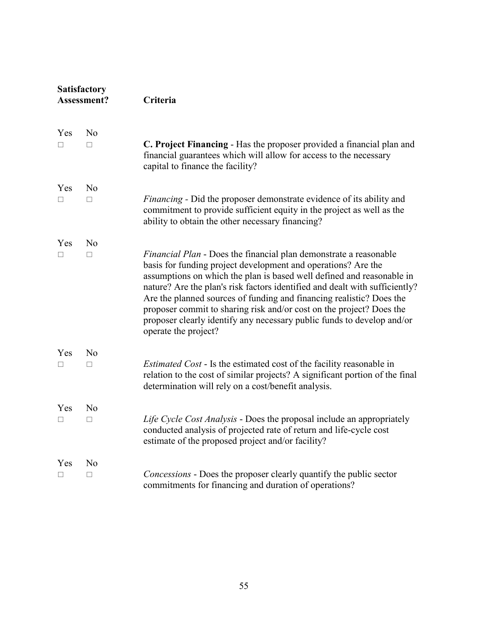| <b>Satisfactory</b><br>Assessment? |                          | Criteria                                                                                                                                                                                                                                                                                                                                                                                                                                                                                                                                            |  |
|------------------------------------|--------------------------|-----------------------------------------------------------------------------------------------------------------------------------------------------------------------------------------------------------------------------------------------------------------------------------------------------------------------------------------------------------------------------------------------------------------------------------------------------------------------------------------------------------------------------------------------------|--|
| Yes<br>П                           | N <sub>0</sub><br>$\Box$ | C. Project Financing - Has the proposer provided a financial plan and<br>financial guarantees which will allow for access to the necessary<br>capital to finance the facility?                                                                                                                                                                                                                                                                                                                                                                      |  |
| Yes<br>П                           | N <sub>o</sub><br>$\Box$ | <i>Financing</i> - Did the proposer demonstrate evidence of its ability and<br>commitment to provide sufficient equity in the project as well as the<br>ability to obtain the other necessary financing?                                                                                                                                                                                                                                                                                                                                            |  |
| Yes<br>П                           | N <sub>o</sub><br>П      | <i>Financial Plan</i> - Does the financial plan demonstrate a reasonable<br>basis for funding project development and operations? Are the<br>assumptions on which the plan is based well defined and reasonable in<br>nature? Are the plan's risk factors identified and dealt with sufficiently?<br>Are the planned sources of funding and financing realistic? Does the<br>proposer commit to sharing risk and/or cost on the project? Does the<br>proposer clearly identify any necessary public funds to develop and/or<br>operate the project? |  |
| Yes<br>П                           | N <sub>o</sub><br>П      | <i>Estimated Cost</i> - Is the estimated cost of the facility reasonable in<br>relation to the cost of similar projects? A significant portion of the final<br>determination will rely on a cost/benefit analysis.                                                                                                                                                                                                                                                                                                                                  |  |
| Yes<br>$\Box$                      | N <sub>o</sub><br>$\Box$ | Life Cycle Cost Analysis - Does the proposal include an appropriately<br>conducted analysis of projected rate of return and life-cycle cost<br>estimate of the proposed project and/or facility?                                                                                                                                                                                                                                                                                                                                                    |  |
| Yes<br>□                           | N <sub>o</sub><br>$\Box$ | <i>Concessions</i> - Does the proposer clearly quantify the public sector<br>commitments for financing and duration of operations?                                                                                                                                                                                                                                                                                                                                                                                                                  |  |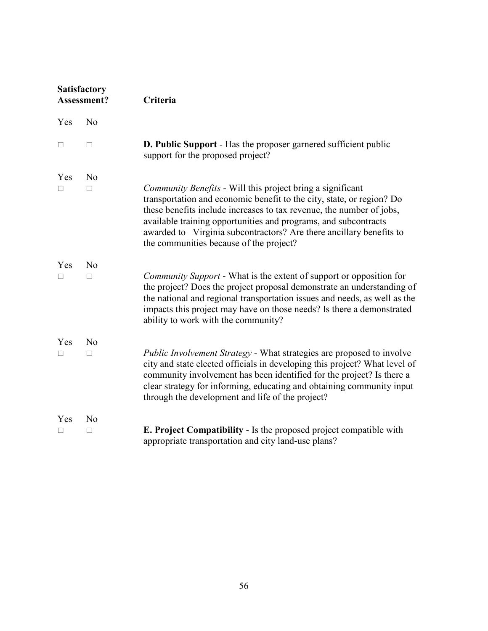| <b>Satisfactory</b><br>Assessment? |                | Criteria                                                                                                                                                                                                                                                                                                                                                                                         |  |
|------------------------------------|----------------|--------------------------------------------------------------------------------------------------------------------------------------------------------------------------------------------------------------------------------------------------------------------------------------------------------------------------------------------------------------------------------------------------|--|
| Yes                                | N <sub>o</sub> |                                                                                                                                                                                                                                                                                                                                                                                                  |  |
| П                                  | П              | <b>D. Public Support</b> - Has the proposer garnered sufficient public<br>support for the proposed project?                                                                                                                                                                                                                                                                                      |  |
| Yes                                | N <sub>0</sub> |                                                                                                                                                                                                                                                                                                                                                                                                  |  |
| п                                  | $\Box$         | Community Benefits - Will this project bring a significant<br>transportation and economic benefit to the city, state, or region? Do<br>these benefits include increases to tax revenue, the number of jobs,<br>available training opportunities and programs, and subcontracts<br>awarded to Virginia subcontractors? Are there ancillary benefits to<br>the communities because of the project? |  |
| Yes                                | N <sub>0</sub> |                                                                                                                                                                                                                                                                                                                                                                                                  |  |
| П                                  | $\Box$         | <i>Community Support</i> - What is the extent of support or opposition for<br>the project? Does the project proposal demonstrate an understanding of<br>the national and regional transportation issues and needs, as well as the<br>impacts this project may have on those needs? Is there a demonstrated<br>ability to work with the community?                                                |  |
| Yes                                | N <sub>o</sub> |                                                                                                                                                                                                                                                                                                                                                                                                  |  |
| П                                  | $\Box$         | <i>Public Involvement Strategy</i> - What strategies are proposed to involve<br>city and state elected officials in developing this project? What level of<br>community involvement has been identified for the project? Is there a<br>clear strategy for informing, educating and obtaining community input<br>through the development and life of the project?                                 |  |
| Yes                                | N <sub>0</sub> |                                                                                                                                                                                                                                                                                                                                                                                                  |  |
| ⊔                                  | ⊔              | <b>E. Project Compatibility - Is the proposed project compatible with</b><br>appropriate transportation and city land-use plans?                                                                                                                                                                                                                                                                 |  |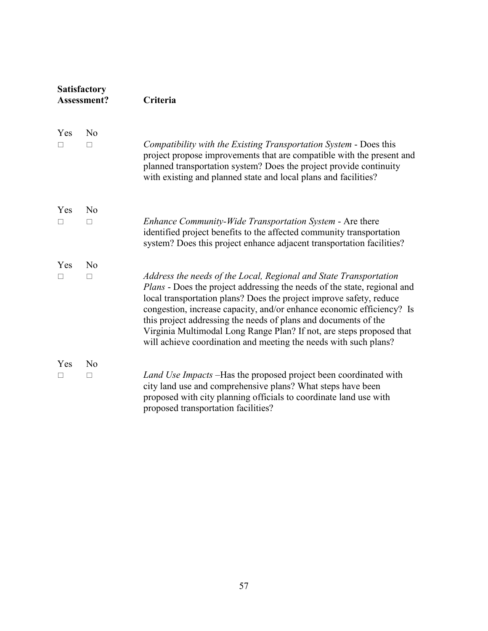| <b>Satisfactory</b><br>Assessment? |                          | Criteria                                                                                                                                                                                                                                                                                                                                                                                                                                                                                                     |  |
|------------------------------------|--------------------------|--------------------------------------------------------------------------------------------------------------------------------------------------------------------------------------------------------------------------------------------------------------------------------------------------------------------------------------------------------------------------------------------------------------------------------------------------------------------------------------------------------------|--|
| Yes<br>П                           | N <sub>o</sub><br>$\Box$ | Compatibility with the Existing Transportation System - Does this<br>project propose improvements that are compatible with the present and<br>planned transportation system? Does the project provide continuity<br>with existing and planned state and local plans and facilities?                                                                                                                                                                                                                          |  |
| Yes<br>$\Box$                      | N <sub>o</sub><br>П      | Enhance Community-Wide Transportation System - Are there<br>identified project benefits to the affected community transportation<br>system? Does this project enhance adjacent transportation facilities?                                                                                                                                                                                                                                                                                                    |  |
| Yes<br>П                           | N <sub>0</sub><br>$\Box$ | Address the needs of the Local, Regional and State Transportation<br>Plans - Does the project addressing the needs of the state, regional and<br>local transportation plans? Does the project improve safety, reduce<br>congestion, increase capacity, and/or enhance economic efficiency? Is<br>this project addressing the needs of plans and documents of the<br>Virginia Multimodal Long Range Plan? If not, are steps proposed that<br>will achieve coordination and meeting the needs with such plans? |  |
| Yes<br>П                           | N <sub>o</sub><br>$\Box$ | Land Use Impacts -Has the proposed project been coordinated with<br>city land use and comprehensive plans? What steps have been<br>proposed with city planning officials to coordinate land use with<br>proposed transportation facilities?                                                                                                                                                                                                                                                                  |  |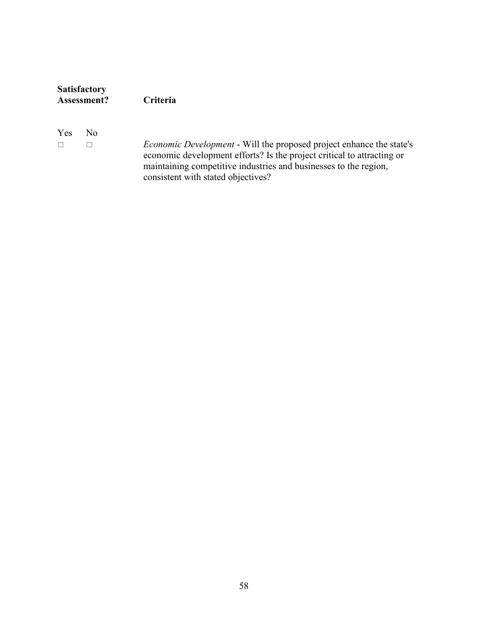| <b>Satisfactory</b> |                 |  |
|---------------------|-----------------|--|
| <b>Assessment?</b>  | <b>Criteria</b> |  |
|                     |                 |  |

Yes No

 *Economic Development* - Will the proposed project enhance the state's economic development efforts? Is the project critical to attracting or maintaining competitive industries and businesses to the region, consistent with stated objectives?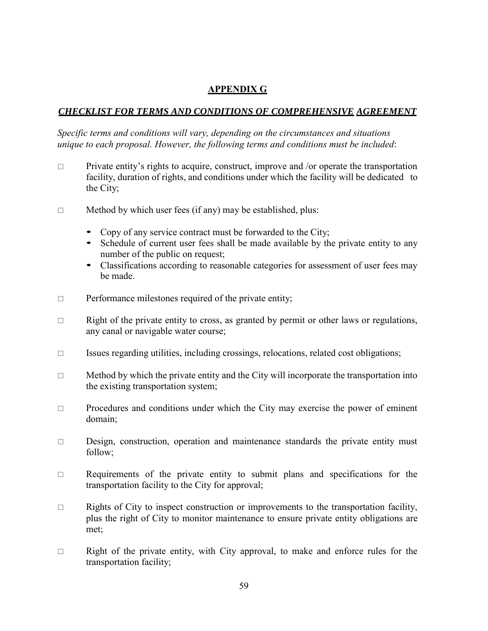# **APPENDIX G**

### *CHECKLIST FOR TERMS AND CONDITIONS OF COMPREHENSIVE AGREEMENT*

*Specific terms and conditions will vary, depending on the circumstances and situations unique to each proposal. However, the following terms and conditions must be included*:

- $\Box$  Private entity's rights to acquire, construct, improve and /or operate the transportation facility, duration of rights, and conditions under which the facility will be dedicated to the City;
- $\Box$  Method by which user fees (if any) may be established, plus:
	- Copy of any service contract must be forwarded to the City;
	- Schedule of current user fees shall be made available by the private entity to any number of the public on request;
	- Classifications according to reasonable categories for assessment of user fees may be made.
- $\Box$  Performance milestones required of the private entity;
- $\Box$  Right of the private entity to cross, as granted by permit or other laws or regulations, any canal or navigable water course;
- $\Box$  Issues regarding utilities, including crossings, relocations, related cost obligations;
- $\Box$  Method by which the private entity and the City will incorporate the transportation into the existing transportation system;
- $\Box$  Procedures and conditions under which the City may exercise the power of eminent domain;
- $\square$  Design, construction, operation and maintenance standards the private entity must follow;
- $\Box$  Requirements of the private entity to submit plans and specifications for the transportation facility to the City for approval;
- $\Box$  Rights of City to inspect construction or improvements to the transportation facility, plus the right of City to monitor maintenance to ensure private entity obligations are met;
- $\Box$  Right of the private entity, with City approval, to make and enforce rules for the transportation facility;